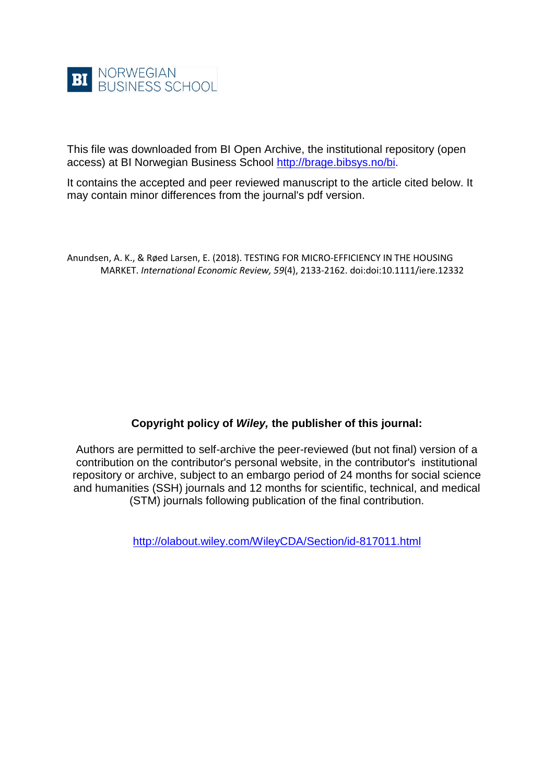

This file was downloaded from BI Open Archive, the institutional repository (open access) at BI Norwegian Business School [http://brage.bibsys.no/bi.](http://brage.bibsys.no/bi)

It contains the accepted and peer reviewed manuscript to the article cited below. It may contain minor differences from the journal's pdf version.

Anundsen, A. K., & Røed Larsen, E. (2018). TESTING FOR MICRO-EFFICIENCY IN THE HOUSING MARKET. *International Economic Review, 59*(4), 2133-2162. doi:doi:10.1111/iere.12332

# **Copyright policy of** *Wiley,* **the publisher of this journal:**

Authors are permitted to self-archive the peer-reviewed (but not final) version of a contribution on the contributor's personal website, in the contributor's institutional repository or archive, subject to an embargo period of 24 months for social science and humanities (SSH) journals and 12 months for scientific, technical, and medical (STM) journals following publication of the final contribution.

<http://olabout.wiley.com/WileyCDA/Section/id-817011.html>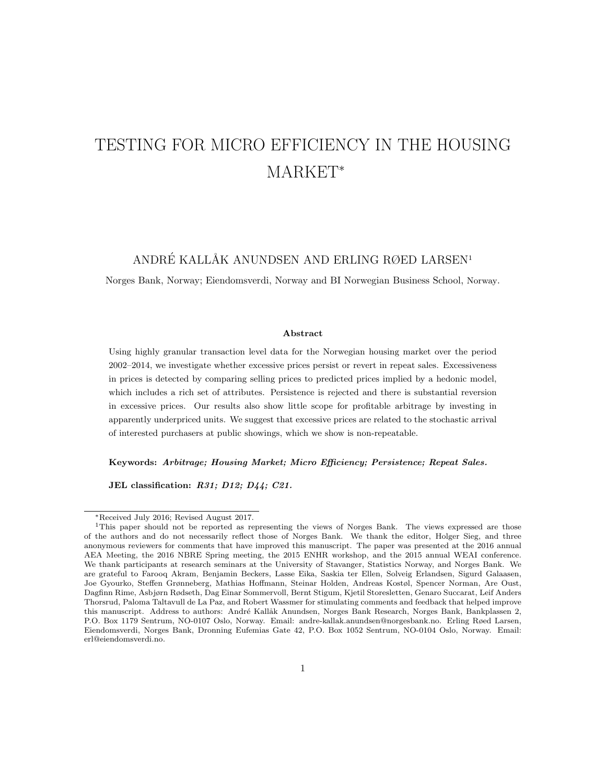# TESTING FOR MICRO EFFICIENCY IN THE HOUSING MARKET<sup>∗</sup>

# ANDRÉ KALLÅK ANUNDSEN AND ERLING RØED LARSEN<sup>1</sup>

Norges Bank, Norway; Eiendomsverdi, Norway and BI Norwegian Business School, Norway.

#### Abstract

Using highly granular transaction level data for the Norwegian housing market over the period 2002–2014, we investigate whether excessive prices persist or revert in repeat sales. Excessiveness in prices is detected by comparing selling prices to predicted prices implied by a hedonic model, which includes a rich set of attributes. Persistence is rejected and there is substantial reversion in excessive prices. Our results also show little scope for profitable arbitrage by investing in apparently underpriced units. We suggest that excessive prices are related to the stochastic arrival of interested purchasers at public showings, which we show is non-repeatable.

#### Keywords: Arbitrage; Housing Market; Micro Efficiency; Persistence; Repeat Sales.

JEL classification: R31; D12; D44; C21.

<sup>∗</sup>Received July 2016; Revised August 2017.

<sup>&</sup>lt;sup>1</sup>This paper should not be reported as representing the views of Norges Bank. The views expressed are those of the authors and do not necessarily reflect those of Norges Bank. We thank the editor, Holger Sieg, and three anonymous reviewers for comments that have improved this manuscript. The paper was presented at the 2016 annual AEA Meeting, the 2016 NBRE Spring meeting, the 2015 ENHR workshop, and the 2015 annual WEAI conference. We thank participants at research seminars at the University of Stavanger, Statistics Norway, and Norges Bank. We are grateful to Farooq Akram, Benjamin Beckers, Lasse Eika, Saskia ter Ellen, Solveig Erlandsen, Sigurd Galaasen, Joe Gyourko, Steffen Grønneberg, Mathias Hoffmann, Steinar Holden, Andreas Kostøl, Spencer Norman, Are Oust, Dagfinn Rime, Asbjørn Rødseth, Dag Einar Sommervoll, Bernt Stigum, Kjetil Storesletten, Genaro Succarat, Leif Anders Thorsrud, Paloma Taltavull de La Paz, and Robert Wassmer for stimulating comments and feedback that helped improve this manuscript. Address to authors: André Kallåk Anundsen, Norges Bank Research, Norges Bank, Bankplassen 2, P.O. Box 1179 Sentrum, NO-0107 Oslo, Norway. Email: andre-kallak.anundsen@norgesbank.no. Erling Røed Larsen, Eiendomsverdi, Norges Bank, Dronning Eufemias Gate 42, P.O. Box 1052 Sentrum, NO-0104 Oslo, Norway. Email: erl@eiendomsverdi.no.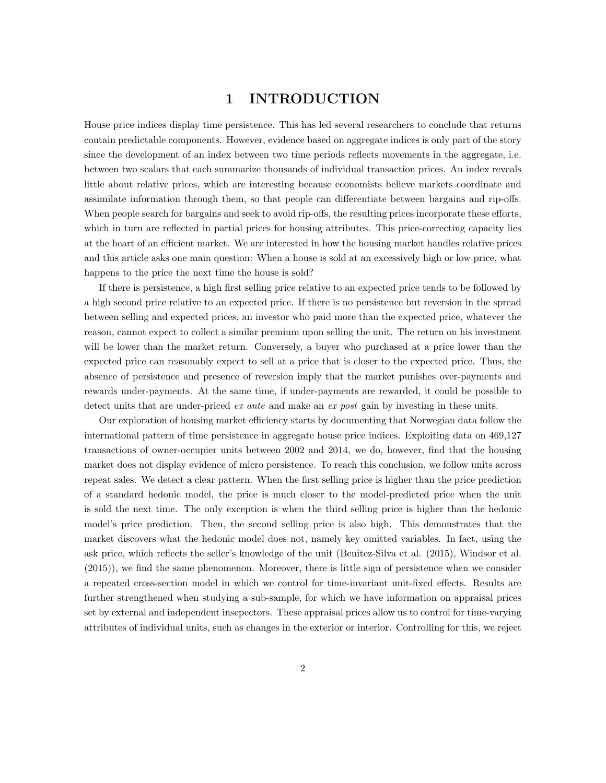# 1 INTRODUCTION

House price indices display time persistence. This has led several researchers to conclude that returns contain predictable components. However, evidence based on aggregate indices is only part of the story since the development of an index between two time periods reflects movements in the aggregate, i.e. between two scalars that each summarize thousands of individual transaction prices. An index reveals little about relative prices, which are interesting because economists believe markets coordinate and assimilate information through them, so that people can differentiate between bargains and rip-offs. When people search for bargains and seek to avoid rip-offs, the resulting prices incorporate these efforts, which in turn are reflected in partial prices for housing attributes. This price-correcting capacity lies at the heart of an efficient market. We are interested in how the housing market handles relative prices and this article asks one main question: When a house is sold at an excessively high or low price, what happens to the price the next time the house is sold?

If there is persistence, a high first selling price relative to an expected price tends to be followed by a high second price relative to an expected price. If there is no persistence but reversion in the spread between selling and expected prices, an investor who paid more than the expected price, whatever the reason, cannot expect to collect a similar premium upon selling the unit. The return on his investment will be lower than the market return. Conversely, a buyer who purchased at a price lower than the expected price can reasonably expect to sell at a price that is closer to the expected price. Thus, the absence of persistence and presence of reversion imply that the market punishes over-payments and rewards under-payments. At the same time, if under-payments are rewarded, it could be possible to detect units that are under-priced ex ante and make an ex post gain by investing in these units.

Our exploration of housing market efficiency starts by documenting that Norwegian data follow the international pattern of time persistence in aggregate house price indices. Exploiting data on 469,127 transactions of owner-occupier units between 2002 and 2014, we do, however, find that the housing market does not display evidence of micro persistence. To reach this conclusion, we follow units across repeat sales. We detect a clear pattern. When the first selling price is higher than the price prediction of a standard hedonic model, the price is much closer to the model-predicted price when the unit is sold the next time. The only exception is when the third selling price is higher than the hedonic model's price prediction. Then, the second selling price is also high. This demonstrates that the market discovers what the hedonic model does not, namely key omitted variables. In fact, using the ask price, which reflects the seller's knowledge of the unit (Benitez-Silva et al. (2015), Windsor et al. (2015)), we find the same phenomenon. Moreover, there is little sign of persistence when we consider a repeated cross-section model in which we control for time-invariant unit-fixed effects. Results are further strengthened when studying a sub-sample, for which we have information on appraisal prices set by external and independent insepectors. These appraisal prices allow us to control for time-varying attributes of individual units, such as changes in the exterior or interior. Controlling for this, we reject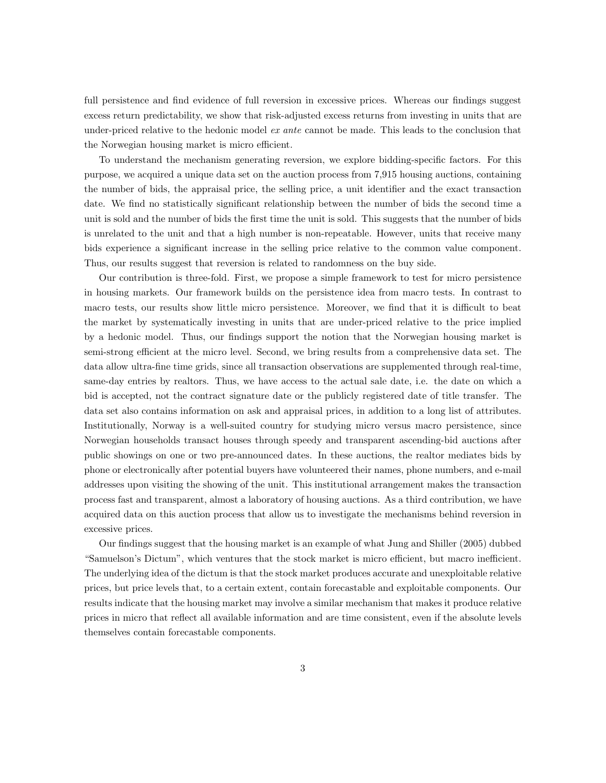full persistence and find evidence of full reversion in excessive prices. Whereas our findings suggest excess return predictability, we show that risk-adjusted excess returns from investing in units that are under-priced relative to the hedonic model  $ex$  ante cannot be made. This leads to the conclusion that the Norwegian housing market is micro efficient.

To understand the mechanism generating reversion, we explore bidding-specific factors. For this purpose, we acquired a unique data set on the auction process from 7,915 housing auctions, containing the number of bids, the appraisal price, the selling price, a unit identifier and the exact transaction date. We find no statistically significant relationship between the number of bids the second time a unit is sold and the number of bids the first time the unit is sold. This suggests that the number of bids is unrelated to the unit and that a high number is non-repeatable. However, units that receive many bids experience a significant increase in the selling price relative to the common value component. Thus, our results suggest that reversion is related to randomness on the buy side.

Our contribution is three-fold. First, we propose a simple framework to test for micro persistence in housing markets. Our framework builds on the persistence idea from macro tests. In contrast to macro tests, our results show little micro persistence. Moreover, we find that it is difficult to beat the market by systematically investing in units that are under-priced relative to the price implied by a hedonic model. Thus, our findings support the notion that the Norwegian housing market is semi-strong efficient at the micro level. Second, we bring results from a comprehensive data set. The data allow ultra-fine time grids, since all transaction observations are supplemented through real-time, same-day entries by realtors. Thus, we have access to the actual sale date, i.e. the date on which a bid is accepted, not the contract signature date or the publicly registered date of title transfer. The data set also contains information on ask and appraisal prices, in addition to a long list of attributes. Institutionally, Norway is a well-suited country for studying micro versus macro persistence, since Norwegian households transact houses through speedy and transparent ascending-bid auctions after public showings on one or two pre-announced dates. In these auctions, the realtor mediates bids by phone or electronically after potential buyers have volunteered their names, phone numbers, and e-mail addresses upon visiting the showing of the unit. This institutional arrangement makes the transaction process fast and transparent, almost a laboratory of housing auctions. As a third contribution, we have acquired data on this auction process that allow us to investigate the mechanisms behind reversion in excessive prices.

Our findings suggest that the housing market is an example of what Jung and Shiller (2005) dubbed "Samuelson's Dictum", which ventures that the stock market is micro efficient, but macro inefficient. The underlying idea of the dictum is that the stock market produces accurate and unexploitable relative prices, but price levels that, to a certain extent, contain forecastable and exploitable components. Our results indicate that the housing market may involve a similar mechanism that makes it produce relative prices in micro that reflect all available information and are time consistent, even if the absolute levels themselves contain forecastable components.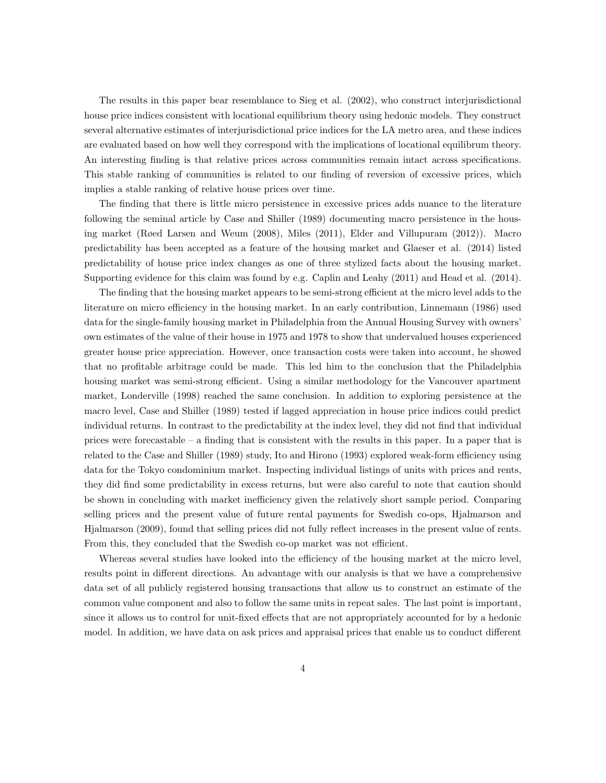The results in this paper bear resemblance to Sieg et al. (2002), who construct interjurisdictional house price indices consistent with locational equilibrium theory using hedonic models. They construct several alternative estimates of interjurisdictional price indices for the LA metro area, and these indices are evaluated based on how well they correspond with the implications of locational equilibrum theory. An interesting finding is that relative prices across communities remain intact across specifications. This stable ranking of communities is related to our finding of reversion of excessive prices, which implies a stable ranking of relative house prices over time.

The finding that there is little micro persistence in excessive prices adds nuance to the literature following the seminal article by Case and Shiller (1989) documenting macro persistence in the housing market (Røed Larsen and Weum (2008), Miles (2011), Elder and Villupuram (2012)). Macro predictability has been accepted as a feature of the housing market and Glaeser et al. (2014) listed predictability of house price index changes as one of three stylized facts about the housing market. Supporting evidence for this claim was found by e.g. Caplin and Leahy (2011) and Head et al. (2014).

The finding that the housing market appears to be semi-strong efficient at the micro level adds to the literature on micro efficiency in the housing market. In an early contribution, Linnemann (1986) used data for the single-family housing market in Philadelphia from the Annual Housing Survey with owners' own estimates of the value of their house in 1975 and 1978 to show that undervalued houses experienced greater house price appreciation. However, once transaction costs were taken into account, he showed that no profitable arbitrage could be made. This led him to the conclusion that the Philadelphia housing market was semi-strong efficient. Using a similar methodology for the Vancouver apartment market, Londerville (1998) reached the same conclusion. In addition to exploring persistence at the macro level, Case and Shiller (1989) tested if lagged appreciation in house price indices could predict individual returns. In contrast to the predictability at the index level, they did not find that individual prices were forecastable – a finding that is consistent with the results in this paper. In a paper that is related to the Case and Shiller (1989) study, Ito and Hirono (1993) explored weak-form efficiency using data for the Tokyo condominium market. Inspecting individual listings of units with prices and rents, they did find some predictability in excess returns, but were also careful to note that caution should be shown in concluding with market inefficiency given the relatively short sample period. Comparing selling prices and the present value of future rental payments for Swedish co-ops, Hjalmarson and Hjalmarson (2009), found that selling prices did not fully reflect increases in the present value of rents. From this, they concluded that the Swedish co-op market was not efficient.

Whereas several studies have looked into the efficiency of the housing market at the micro level, results point in different directions. An advantage with our analysis is that we have a comprehensive data set of all publicly registered housing transactions that allow us to construct an estimate of the common value component and also to follow the same units in repeat sales. The last point is important, since it allows us to control for unit-fixed effects that are not appropriately accounted for by a hedonic model. In addition, we have data on ask prices and appraisal prices that enable us to conduct different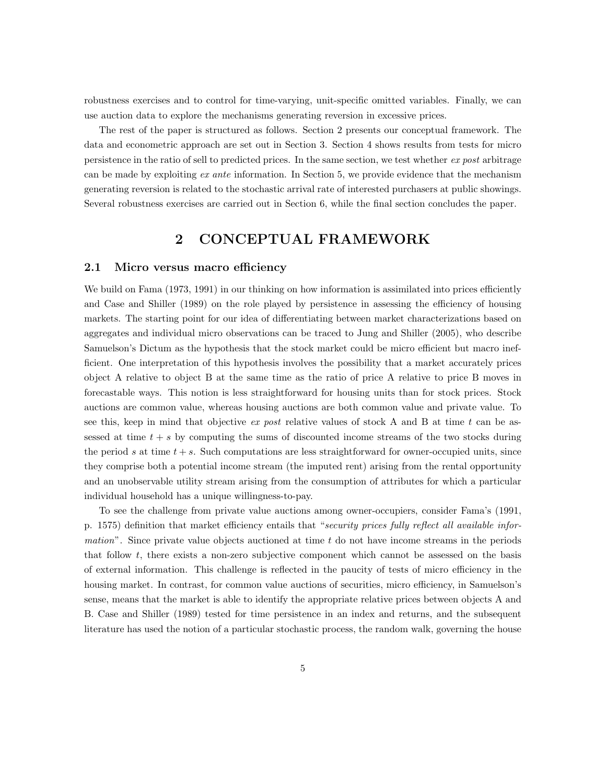robustness exercises and to control for time-varying, unit-specific omitted variables. Finally, we can use auction data to explore the mechanisms generating reversion in excessive prices.

The rest of the paper is structured as follows. Section 2 presents our conceptual framework. The data and econometric approach are set out in Section 3. Section 4 shows results from tests for micro persistence in the ratio of sell to predicted prices. In the same section, we test whether ex post arbitrage can be made by exploiting ex ante information. In Section 5, we provide evidence that the mechanism generating reversion is related to the stochastic arrival rate of interested purchasers at public showings. Several robustness exercises are carried out in Section 6, while the final section concludes the paper.

## 2 CONCEPTUAL FRAMEWORK

#### 2.1 Micro versus macro efficiency

We build on Fama (1973, 1991) in our thinking on how information is assimilated into prices efficiently and Case and Shiller (1989) on the role played by persistence in assessing the efficiency of housing markets. The starting point for our idea of differentiating between market characterizations based on aggregates and individual micro observations can be traced to Jung and Shiller (2005), who describe Samuelson's Dictum as the hypothesis that the stock market could be micro efficient but macro inefficient. One interpretation of this hypothesis involves the possibility that a market accurately prices object A relative to object B at the same time as the ratio of price A relative to price B moves in forecastable ways. This notion is less straightforward for housing units than for stock prices. Stock auctions are common value, whereas housing auctions are both common value and private value. To see this, keep in mind that objective ex post relative values of stock A and B at time t can be assessed at time  $t + s$  by computing the sums of discounted income streams of the two stocks during the period s at time  $t + s$ . Such computations are less straightforward for owner-occupied units, since they comprise both a potential income stream (the imputed rent) arising from the rental opportunity and an unobservable utility stream arising from the consumption of attributes for which a particular individual household has a unique willingness-to-pay.

To see the challenge from private value auctions among owner-occupiers, consider Fama's (1991, p. 1575) definition that market efficiency entails that "security prices fully reflect all available infor*mation*". Since private value objects auctioned at time  $t$  do not have income streams in the periods that follow t, there exists a non-zero subjective component which cannot be assessed on the basis of external information. This challenge is reflected in the paucity of tests of micro efficiency in the housing market. In contrast, for common value auctions of securities, micro efficiency, in Samuelson's sense, means that the market is able to identify the appropriate relative prices between objects A and B. Case and Shiller (1989) tested for time persistence in an index and returns, and the subsequent literature has used the notion of a particular stochastic process, the random walk, governing the house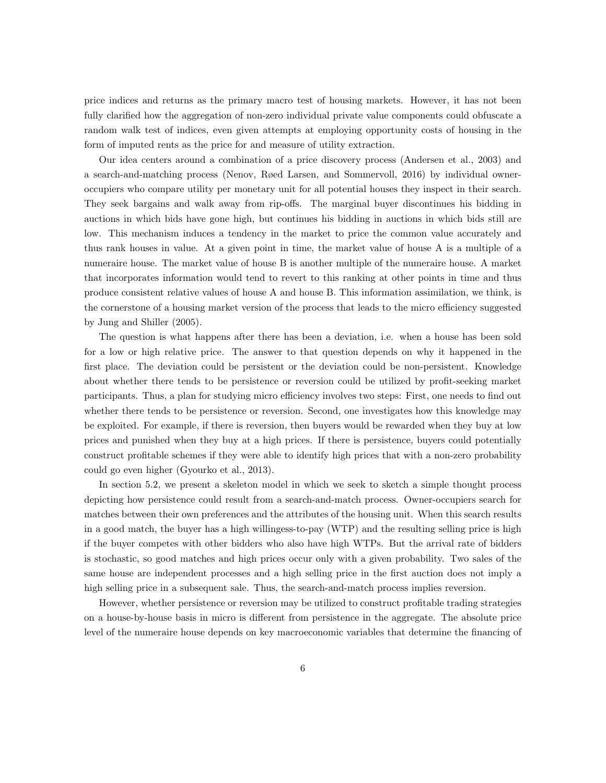price indices and returns as the primary macro test of housing markets. However, it has not been fully clarified how the aggregation of non-zero individual private value components could obfuscate a random walk test of indices, even given attempts at employing opportunity costs of housing in the form of imputed rents as the price for and measure of utility extraction.

Our idea centers around a combination of a price discovery process (Andersen et al., 2003) and a search-and-matching process (Nenov, Røed Larsen, and Sommervoll, 2016) by individual owneroccupiers who compare utility per monetary unit for all potential houses they inspect in their search. They seek bargains and walk away from rip-offs. The marginal buyer discontinues his bidding in auctions in which bids have gone high, but continues his bidding in auctions in which bids still are low. This mechanism induces a tendency in the market to price the common value accurately and thus rank houses in value. At a given point in time, the market value of house A is a multiple of a numeraire house. The market value of house B is another multiple of the numeraire house. A market that incorporates information would tend to revert to this ranking at other points in time and thus produce consistent relative values of house A and house B. This information assimilation, we think, is the cornerstone of a housing market version of the process that leads to the micro efficiency suggested by Jung and Shiller (2005).

The question is what happens after there has been a deviation, i.e. when a house has been sold for a low or high relative price. The answer to that question depends on why it happened in the first place. The deviation could be persistent or the deviation could be non-persistent. Knowledge about whether there tends to be persistence or reversion could be utilized by profit-seeking market participants. Thus, a plan for studying micro efficiency involves two steps: First, one needs to find out whether there tends to be persistence or reversion. Second, one investigates how this knowledge may be exploited. For example, if there is reversion, then buyers would be rewarded when they buy at low prices and punished when they buy at a high prices. If there is persistence, buyers could potentially construct profitable schemes if they were able to identify high prices that with a non-zero probability could go even higher (Gyourko et al., 2013).

In section 5.2, we present a skeleton model in which we seek to sketch a simple thought process depicting how persistence could result from a search-and-match process. Owner-occupiers search for matches between their own preferences and the attributes of the housing unit. When this search results in a good match, the buyer has a high willingess-to-pay (WTP) and the resulting selling price is high if the buyer competes with other bidders who also have high WTPs. But the arrival rate of bidders is stochastic, so good matches and high prices occur only with a given probability. Two sales of the same house are independent processes and a high selling price in the first auction does not imply a high selling price in a subsequent sale. Thus, the search-and-match process implies reversion.

However, whether persistence or reversion may be utilized to construct profitable trading strategies on a house-by-house basis in micro is different from persistence in the aggregate. The absolute price level of the numeraire house depends on key macroeconomic variables that determine the financing of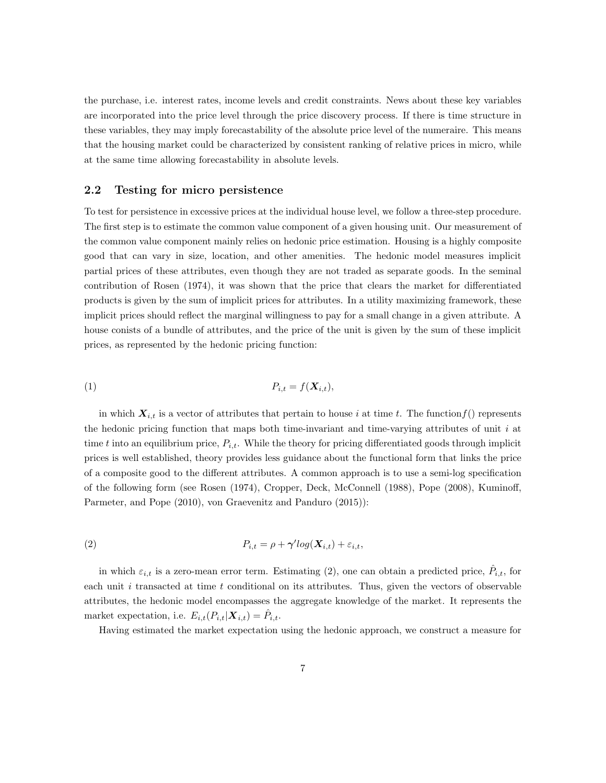the purchase, i.e. interest rates, income levels and credit constraints. News about these key variables are incorporated into the price level through the price discovery process. If there is time structure in these variables, they may imply forecastability of the absolute price level of the numeraire. This means that the housing market could be characterized by consistent ranking of relative prices in micro, while at the same time allowing forecastability in absolute levels.

#### 2.2 Testing for micro persistence

To test for persistence in excessive prices at the individual house level, we follow a three-step procedure. The first step is to estimate the common value component of a given housing unit. Our measurement of the common value component mainly relies on hedonic price estimation. Housing is a highly composite good that can vary in size, location, and other amenities. The hedonic model measures implicit partial prices of these attributes, even though they are not traded as separate goods. In the seminal contribution of Rosen (1974), it was shown that the price that clears the market for differentiated products is given by the sum of implicit prices for attributes. In a utility maximizing framework, these implicit prices should reflect the marginal willingness to pay for a small change in a given attribute. A house conists of a bundle of attributes, and the price of the unit is given by the sum of these implicit prices, as represented by the hedonic pricing function:

$$
(1) \t\t P_{i,t} = f(\mathbf{X}_{i,t}),
$$

in which  $X_{i,t}$  is a vector of attributes that pertain to house i at time t. The function  $f()$  represents the hedonic pricing function that maps both time-invariant and time-varying attributes of unit  $i$  at time t into an equilibrium price,  $P_{i,t}$ . While the theory for pricing differentiated goods through implicit prices is well established, theory provides less guidance about the functional form that links the price of a composite good to the different attributes. A common approach is to use a semi-log specification of the following form (see Rosen (1974), Cropper, Deck, McConnell (1988), Pope (2008), Kuminoff, Parmeter, and Pope (2010), von Graevenitz and Panduro (2015)):

(2) 
$$
P_{i,t} = \rho + \gamma' log(\mathbf{X}_{i,t}) + \varepsilon_{i,t},
$$

in which  $\varepsilon_{i,t}$  is a zero-mean error term. Estimating (2), one can obtain a predicted price,  $\hat{P}_{i,t}$ , for each unit  $i$  transacted at time  $t$  conditional on its attributes. Thus, given the vectors of observable attributes, the hedonic model encompasses the aggregate knowledge of the market. It represents the market expectation, i.e.  $E_{i,t}(P_{i,t}|\boldsymbol{X}_{i,t}) = \hat{P}_{i,t}$ .

Having estimated the market expectation using the hedonic approach, we construct a measure for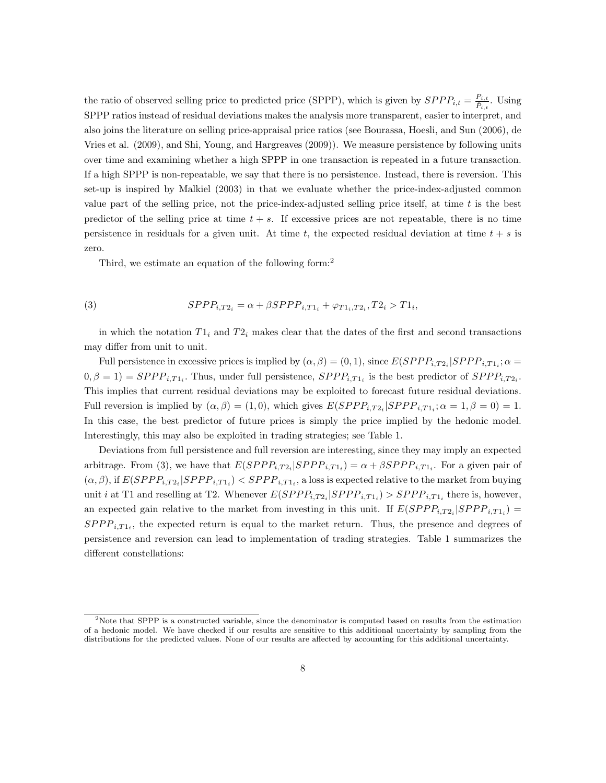the ratio of observed selling price to predicted price (SPPP), which is given by  $SPPP_{i,t} = \frac{P_{i,t}}{\hat{P}_{i,t}}$  $\frac{P_{i,t}}{\hat{P}_{i,t}}$ . Using SPPP ratios instead of residual deviations makes the analysis more transparent, easier to interpret, and also joins the literature on selling price-appraisal price ratios (see Bourassa, Hoesli, and Sun (2006), de Vries et al. (2009), and Shi, Young, and Hargreaves (2009)). We measure persistence by following units over time and examining whether a high SPPP in one transaction is repeated in a future transaction. If a high SPPP is non-repeatable, we say that there is no persistence. Instead, there is reversion. This set-up is inspired by Malkiel (2003) in that we evaluate whether the price-index-adjusted common value part of the selling price, not the price-index-adjusted selling price itself, at time  $t$  is the best predictor of the selling price at time  $t + s$ . If excessive prices are not repeatable, there is no time persistence in residuals for a given unit. At time t, the expected residual deviation at time  $t + s$  is zero.

Third, we estimate an equation of the following form:<sup>2</sup>

(3) 
$$
SPPP_{i,T2_i} = \alpha + \beta SPPP_{i,T1_i} + \varphi_{T1_i,T2_i}, T2_i > T1_i,
$$

in which the notation  $T1_i$  and  $T2_i$  makes clear that the dates of the first and second transactions may differ from unit to unit.

Full persistence in excessive prices is implied by  $(\alpha, \beta) = (0, 1)$ , since  $E(SPPP_{i,T2_i}|SPPP_{i,T1_i}; \alpha =$  $(0, \beta = 1) = SPPP_{i,T1_i}$ . Thus, under full persistence,  $SPPP_{i,T1_i}$  is the best predictor of  $SPPP_{i,T2_i}$ . This implies that current residual deviations may be exploited to forecast future residual deviations. Full reversion is implied by  $(\alpha, \beta) = (1, 0)$ , which gives  $E(SPPP_{i,T2_i}|SPPP_{i,T1_i}; \alpha = 1, \beta = 0) = 1$ . In this case, the best predictor of future prices is simply the price implied by the hedonic model. Interestingly, this may also be exploited in trading strategies; see Table 1.

Deviations from full persistence and full reversion are interesting, since they may imply an expected arbitrage. From (3), we have that  $E(SPPP_{i,T2_i}|SPPP_{i,T1_i}) = \alpha + \beta SPPP_{i,T1_i}$ . For a given pair of  $(\alpha, \beta)$ , if  $E(SPPP_{i,T2i}|SPPP_{i,T1i}) < SPPP_{i,T1i}$ , a loss is expected relative to the market from buying unit *i* at T1 and reselling at T2. Whenever  $E(SPPP_{i,T2_i}|SPPP_{i,T1_i}) > SPPP_{i,T1_i}$  there is, however, an expected gain relative to the market from investing in this unit. If  $E(SPPP_{i,T2i}|SPPP_{i,T1i}) =$  $SPPP_{i,T1_i}$ , the expected return is equal to the market return. Thus, the presence and degrees of persistence and reversion can lead to implementation of trading strategies. Table 1 summarizes the different constellations:

<sup>2</sup>Note that SPPP is a constructed variable, since the denominator is computed based on results from the estimation of a hedonic model. We have checked if our results are sensitive to this additional uncertainty by sampling from the distributions for the predicted values. None of our results are affected by accounting for this additional uncertainty.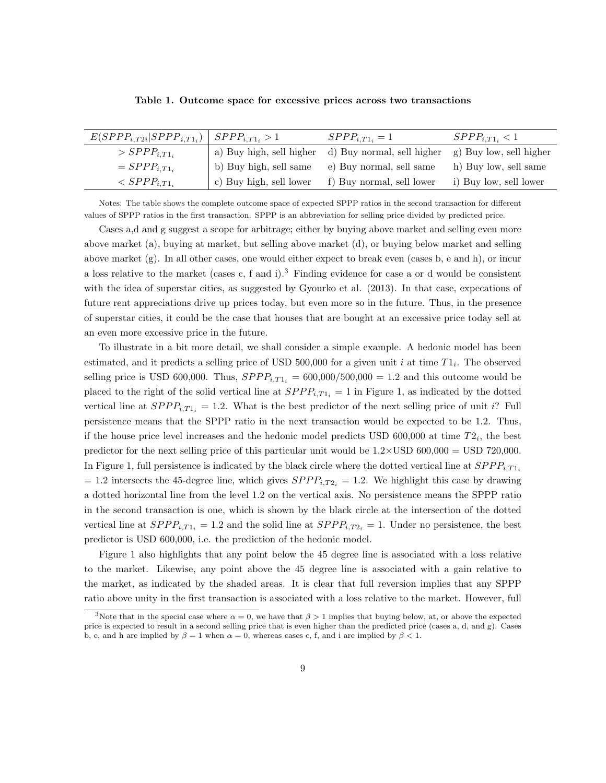| $E(SPPP_{i,T2i} SPPP_{i,T1_i})$ | $SPPP_{i.T1_i}>1$       | $SPPP_{i,T1_i}=1$                                   | $SPPP_{i.T1_i} < 1$     |
|---------------------------------|-------------------------|-----------------------------------------------------|-------------------------|
| $>$ $SPPP_{i,T1_i}$             |                         | a) Buy high, sell higher d) Buy normal, sell higher | g) Buy low, sell higher |
| $=$ $SPPP_{i.T1_i}$             | b) Buy high, sell same  | e) Buy normal, sell same                            | h) Buy low, sell same   |
| $\langle$ SPPP <sub>i.T1</sub>  | c) Buy high, sell lower | f) Buy normal, sell lower                           | i) Buy low, sell lower  |

Table 1. Outcome space for excessive prices across two transactions

Notes: The table shows the complete outcome space of expected SPPP ratios in the second transaction for different values of SPPP ratios in the first transaction. SPPP is an abbreviation for selling price divided by predicted price.

Cases a,d and g suggest a scope for arbitrage; either by buying above market and selling even more above market (a), buying at market, but selling above market (d), or buying below market and selling above market (g). In all other cases, one would either expect to break even (cases b, e and h), or incur a loss relative to the market (cases c, f and i).<sup>3</sup> Finding evidence for case a or d would be consistent with the idea of superstar cities, as suggested by Gyourko et al. (2013). In that case, expecations of future rent appreciations drive up prices today, but even more so in the future. Thus, in the presence of superstar cities, it could be the case that houses that are bought at an excessive price today sell at an even more excessive price in the future.

To illustrate in a bit more detail, we shall consider a simple example. A hedonic model has been estimated, and it predicts a selling price of USD 500,000 for a given unit i at time  $T1_i$ . The observed selling price is USD 600,000. Thus,  $SPPP_{i,T1_i} = 600,000/500,000 = 1.2$  and this outcome would be placed to the right of the solid vertical line at  $SPPP_{i,T_{i}} = 1$  in Figure 1, as indicated by the dotted vertical line at  $SPPP_{i,T_1} = 1.2$ . What is the best predictor of the next selling price of unit i? Full persistence means that the SPPP ratio in the next transaction would be expected to be 1.2. Thus, if the house price level increases and the hedonic model predicts USD  $600,000$  at time  $T2_i$ , the best predictor for the next selling price of this particular unit would be  $1.2 \times$  USD 600,000 = USD 720,000. In Figure 1, full persistence is indicated by the black circle where the dotted vertical line at  $SPPP_{i,T1_i}$  $= 1.2$  intersects the 45-degree line, which gives  $SPPP_{i,T2_i} = 1.2$ . We highlight this case by drawing a dotted horizontal line from the level 1.2 on the vertical axis. No persistence means the SPPP ratio in the second transaction is one, which is shown by the black circle at the intersection of the dotted vertical line at  $SPPP_{i,T1_i} = 1.2$  and the solid line at  $SPPP_{i,T2_i} = 1$ . Under no persistence, the best predictor is USD 600,000, i.e. the prediction of the hedonic model.

Figure 1 also highlights that any point below the 45 degree line is associated with a loss relative to the market. Likewise, any point above the 45 degree line is associated with a gain relative to the market, as indicated by the shaded areas. It is clear that full reversion implies that any SPPP ratio above unity in the first transaction is associated with a loss relative to the market. However, full

<sup>&</sup>lt;sup>3</sup>Note that in the special case where  $\alpha = 0$ , we have that  $\beta > 1$  implies that buying below, at, or above the expected price is expected to result in a second selling price that is even higher than the predicted price (cases a, d, and g). Cases b, e, and h are implied by  $\beta = 1$  when  $\alpha = 0$ , whereas cases c, f, and i are implied by  $\beta < 1$ .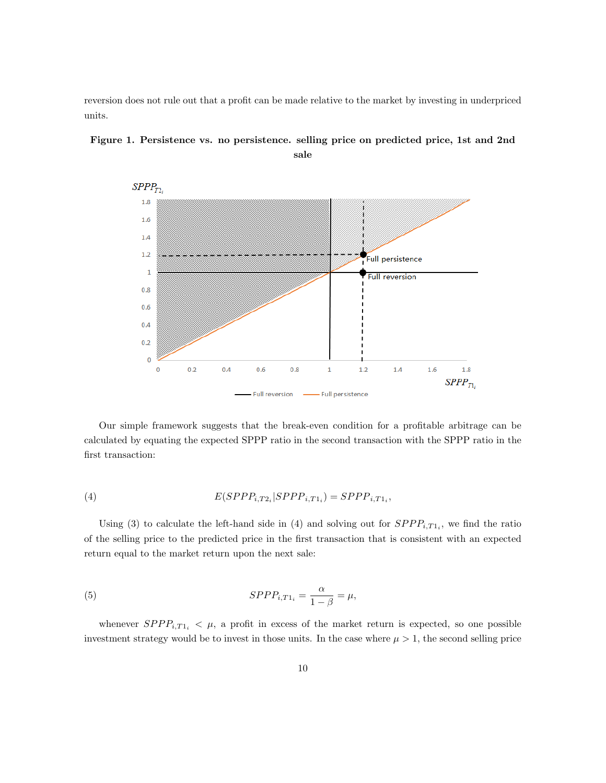reversion does not rule out that a profit can be made relative to the market by investing in underpriced units.



Figure 1. Persistence vs. no persistence. selling price on predicted price, 1st and 2nd sale

Our simple framework suggests that the break-even condition for a profitable arbitrage can be calculated by equating the expected SPPP ratio in the second transaction with the SPPP ratio in the first transaction:

$$
(4) \qquad \qquad E(SPPP_{i,T2i}|SPPP_{i,T1i}) = SPPP_{i,T1i},
$$

Using (3) to calculate the left-hand side in (4) and solving out for  $SPPP_{i,T_1}$ , we find the ratio of the selling price to the predicted price in the first transaction that is consistent with an expected return equal to the market return upon the next sale:

(5) 
$$
SPPP_{i,T1_i} = \frac{\alpha}{1-\beta} = \mu,
$$

whenever  $SPPP_{i,T_{1_i}} < \mu$ , a profit in excess of the market return is expected, so one possible investment strategy would be to invest in those units. In the case where  $\mu > 1$ , the second selling price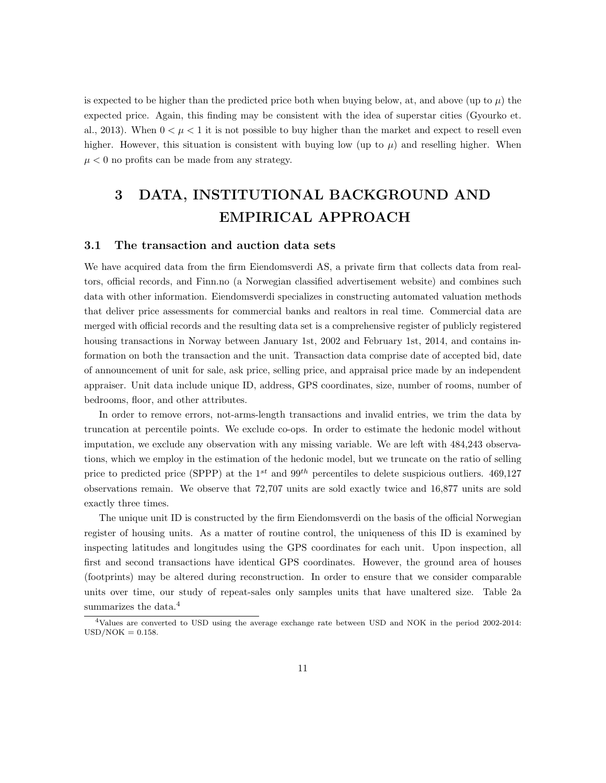is expected to be higher than the predicted price both when buying below, at, and above (up to  $\mu$ ) the expected price. Again, this finding may be consistent with the idea of superstar cities (Gyourko et. al., 2013). When  $0 < \mu < 1$  it is not possible to buy higher than the market and expect to resell even higher. However, this situation is consistent with buying low (up to  $\mu$ ) and reselling higher. When  $\mu<0$  no profits can be made from any strategy.

# 3 DATA, INSTITUTIONAL BACKGROUND AND EMPIRICAL APPROACH

#### 3.1 The transaction and auction data sets

We have acquired data from the firm Eiendomsverdi AS, a private firm that collects data from realtors, official records, and Finn.no (a Norwegian classified advertisement website) and combines such data with other information. Eiendomsverdi specializes in constructing automated valuation methods that deliver price assessments for commercial banks and realtors in real time. Commercial data are merged with official records and the resulting data set is a comprehensive register of publicly registered housing transactions in Norway between January 1st, 2002 and February 1st, 2014, and contains information on both the transaction and the unit. Transaction data comprise date of accepted bid, date of announcement of unit for sale, ask price, selling price, and appraisal price made by an independent appraiser. Unit data include unique ID, address, GPS coordinates, size, number of rooms, number of bedrooms, floor, and other attributes.

In order to remove errors, not-arms-length transactions and invalid entries, we trim the data by truncation at percentile points. We exclude co-ops. In order to estimate the hedonic model without imputation, we exclude any observation with any missing variable. We are left with 484,243 observations, which we employ in the estimation of the hedonic model, but we truncate on the ratio of selling price to predicted price (SPPP) at the  $1^{st}$  and  $99^{th}$  percentiles to delete suspicious outliers. 469,127 observations remain. We observe that 72,707 units are sold exactly twice and 16,877 units are sold exactly three times.

The unique unit ID is constructed by the firm Eiendomsverdi on the basis of the official Norwegian register of housing units. As a matter of routine control, the uniqueness of this ID is examined by inspecting latitudes and longitudes using the GPS coordinates for each unit. Upon inspection, all first and second transactions have identical GPS coordinates. However, the ground area of houses (footprints) may be altered during reconstruction. In order to ensure that we consider comparable units over time, our study of repeat-sales only samples units that have unaltered size. Table 2a summarizes the data.<sup>4</sup>

<sup>4</sup>Values are converted to USD using the average exchange rate between USD and NOK in the period 2002-2014:  $USD/NOK = 0.158$ .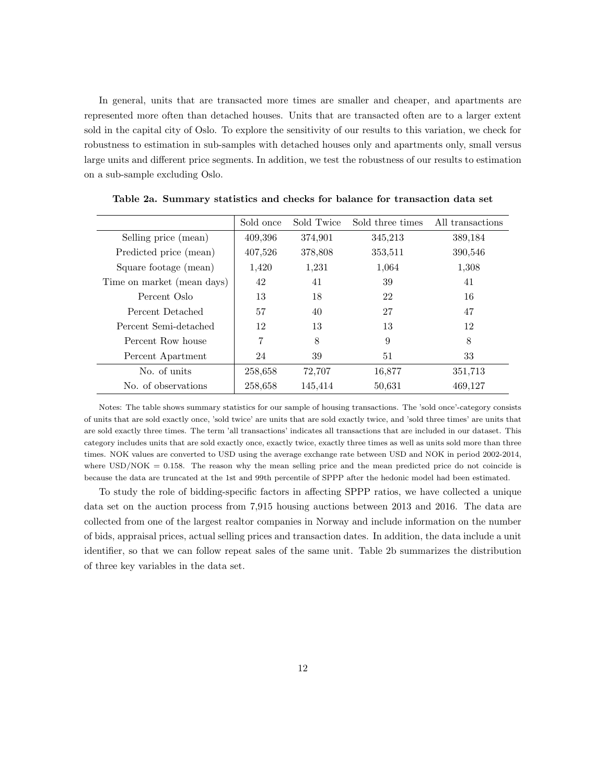In general, units that are transacted more times are smaller and cheaper, and apartments are represented more often than detached houses. Units that are transacted often are to a larger extent sold in the capital city of Oslo. To explore the sensitivity of our results to this variation, we check for robustness to estimation in sub-samples with detached houses only and apartments only, small versus large units and different price segments. In addition, we test the robustness of our results to estimation on a sub-sample excluding Oslo.

|                            | Sold once | Sold Twice | Sold three times | All transactions |
|----------------------------|-----------|------------|------------------|------------------|
| Selling price (mean)       | 409,396   | 374,901    | 345,213          | 389,184          |
| Predicted price (mean)     | 407,526   | 378,808    | 353,511          | 390,546          |
| Square footage (mean)      | 1,420     | 1,231      | 1,064            | 1,308            |
| Time on market (mean days) | 42        | 41         | 39               | 41               |
| Percent Oslo               | 13        | 18         | 22               | 16               |
| Percent Detached           | 57        | 40         | 27               | 47               |
| Percent Semi-detached      | 12        | 13         | 13               | 12               |
| Percent Row house          | 7         | 8          | 9                | 8                |
| Percent Apartment          | 24        | 39         | 51               | 33               |
| No. of units               | 258,658   | 72,707     | 16,877           | 351,713          |
| No. of observations        | 258,658   | 145,414    | 50,631           | 469,127          |

Table 2a. Summary statistics and checks for balance for transaction data set

Notes: The table shows summary statistics for our sample of housing transactions. The 'sold once'-category consists of units that are sold exactly once, 'sold twice' are units that are sold exactly twice, and 'sold three times' are units that are sold exactly three times. The term 'all transactions' indicates all transactions that are included in our dataset. This category includes units that are sold exactly once, exactly twice, exactly three times as well as units sold more than three times. NOK values are converted to USD using the average exchange rate between USD and NOK in period 2002-2014, where  $USD/NOK = 0.158$ . The reason why the mean selling price and the mean predicted price do not coincide is because the data are truncated at the 1st and 99th percentile of SPPP after the hedonic model had been estimated.

To study the role of bidding-specific factors in affecting SPPP ratios, we have collected a unique data set on the auction process from 7,915 housing auctions between 2013 and 2016. The data are collected from one of the largest realtor companies in Norway and include information on the number of bids, appraisal prices, actual selling prices and transaction dates. In addition, the data include a unit identifier, so that we can follow repeat sales of the same unit. Table 2b summarizes the distribution of three key variables in the data set.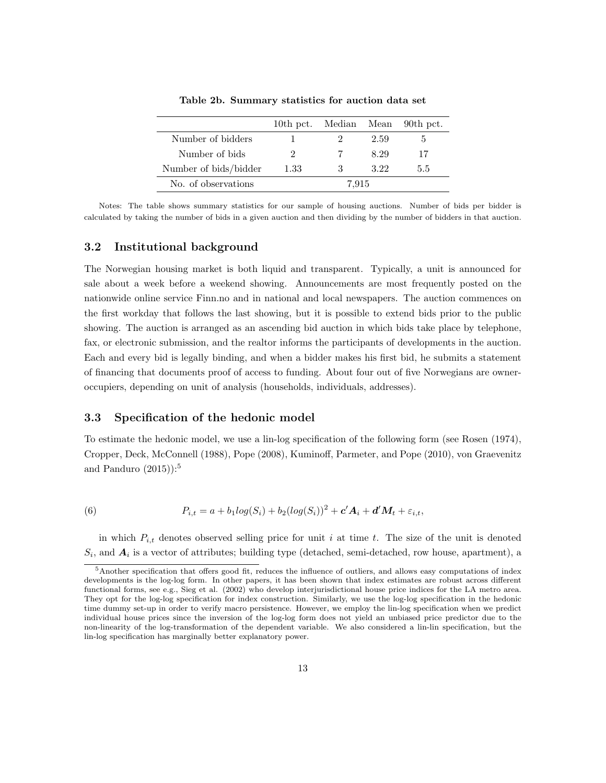|                       |              |       |      | 10th pct. Median Mean 90th pct. |
|-----------------------|--------------|-------|------|---------------------------------|
| Number of bidders     | $\mathbf{L}$ |       | 2.59 |                                 |
| Number of bids        | 2            |       | 829  | 17                              |
| Number of bids/bidder | 1.33         |       | 3.22 | 5.5                             |
| No. of observations   |              | 7.915 |      |                                 |

Table 2b. Summary statistics for auction data set

Notes: The table shows summary statistics for our sample of housing auctions. Number of bids per bidder is calculated by taking the number of bids in a given auction and then dividing by the number of bidders in that auction.

### 3.2 Institutional background

The Norwegian housing market is both liquid and transparent. Typically, a unit is announced for sale about a week before a weekend showing. Announcements are most frequently posted on the nationwide online service Finn.no and in national and local newspapers. The auction commences on the first workday that follows the last showing, but it is possible to extend bids prior to the public showing. The auction is arranged as an ascending bid auction in which bids take place by telephone, fax, or electronic submission, and the realtor informs the participants of developments in the auction. Each and every bid is legally binding, and when a bidder makes his first bid, he submits a statement of financing that documents proof of access to funding. About four out of five Norwegians are owneroccupiers, depending on unit of analysis (households, individuals, addresses).

#### 3.3 Specification of the hedonic model

To estimate the hedonic model, we use a lin-log specification of the following form (see Rosen (1974), Cropper, Deck, McConnell (1988), Pope (2008), Kuminoff, Parmeter, and Pope (2010), von Graevenitz and Panduro  $(2015)$ :<sup>5</sup>

(6) 
$$
P_{i,t} = a + b_1 log(S_i) + b_2 (log(S_i))^2 + c' A_i + d' M_t + \varepsilon_{i,t},
$$

in which  $P_{i,t}$  denotes observed selling price for unit i at time t. The size of the unit is denoted  $S_i$ , and  $A_i$  is a vector of attributes; building type (detached, semi-detached, row house, apartment), a

<sup>5</sup>Another specification that offers good fit, reduces the influence of outliers, and allows easy computations of index developments is the log-log form. In other papers, it has been shown that index estimates are robust across different functional forms, see e.g., Sieg et al. (2002) who develop interjurisdictional house price indices for the LA metro area. They opt for the log-log specification for index construction. Similarly, we use the log-log specification in the hedonic time dummy set-up in order to verify macro persistence. However, we employ the lin-log specification when we predict individual house prices since the inversion of the log-log form does not yield an unbiased price predictor due to the non-linearity of the log-transformation of the dependent variable. We also considered a lin-lin specification, but the lin-log specification has marginally better explanatory power.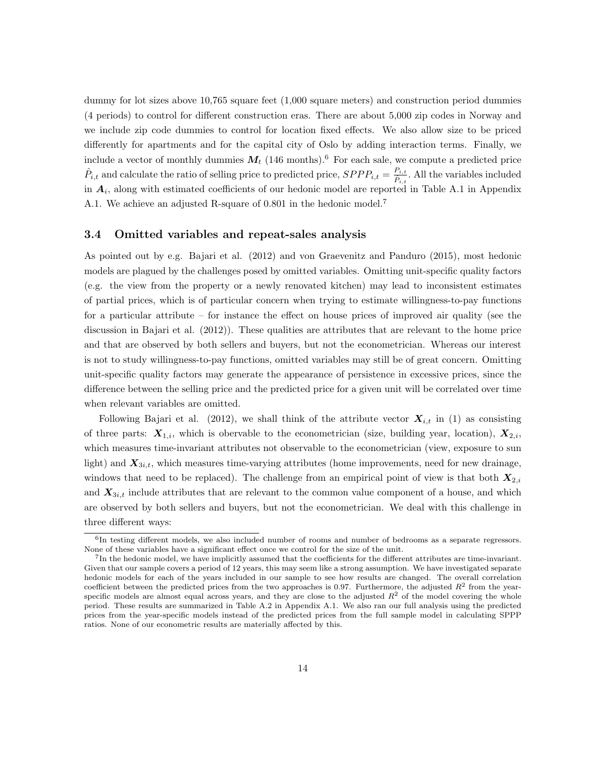dummy for lot sizes above 10,765 square feet (1,000 square meters) and construction period dummies (4 periods) to control for different construction eras. There are about 5,000 zip codes in Norway and we include zip code dummies to control for location fixed effects. We also allow size to be priced differently for apartments and for the capital city of Oslo by adding interaction terms. Finally, we include a vector of monthly dummies  $M_t$  (146 months).<sup>6</sup> For each sale, we compute a predicted price  $\hat{P}_{i,t}$  and calculate the ratio of selling price to predicted price,  $SPPP_{i,t} = \frac{P_{i,t}}{\hat{P}_{i,t}}$  $\frac{P_{i,t}}{\hat{P}_{i,t}}$ . All the variables included in  $A_i$ , along with estimated coefficients of our hedonic model are reported in Table A.1 in Appendix A.1. We achieve an adjusted R-square of 0.801 in the hedonic model.<sup>7</sup>

#### 3.4 Omitted variables and repeat-sales analysis

As pointed out by e.g. Bajari et al. (2012) and von Graevenitz and Panduro (2015), most hedonic models are plagued by the challenges posed by omitted variables. Omitting unit-specific quality factors (e.g. the view from the property or a newly renovated kitchen) may lead to inconsistent estimates of partial prices, which is of particular concern when trying to estimate willingness-to-pay functions for a particular attribute – for instance the effect on house prices of improved air quality (see the discussion in Bajari et al. (2012)). These qualities are attributes that are relevant to the home price and that are observed by both sellers and buyers, but not the econometrician. Whereas our interest is not to study willingness-to-pay functions, omitted variables may still be of great concern. Omitting unit-specific quality factors may generate the appearance of persistence in excessive prices, since the difference between the selling price and the predicted price for a given unit will be correlated over time when relevant variables are omitted.

Following Bajari et al. (2012), we shall think of the attribute vector  $X_{i,t}$  in (1) as consisting of three parts:  $X_{1,i}$ , which is obervable to the econometrician (size, building year, location),  $X_{2,i}$ , which measures time-invariant attributes not observable to the econometrician (view, exposure to sun light) and  $X_{3i,t}$ , which measures time-varying attributes (home improvements, need for new drainage, windows that need to be replaced). The challenge from an empirical point of view is that both  $X_{2,i}$ and  $X_{3i,t}$  include attributes that are relevant to the common value component of a house, and which are observed by both sellers and buyers, but not the econometrician. We deal with this challenge in three different ways:

<sup>&</sup>lt;sup>6</sup>In testing different models, we also included number of rooms and number of bedrooms as a separate regressors. None of these variables have a significant effect once we control for the size of the unit.

<sup>7</sup> In the hedonic model, we have implicitly assumed that the coefficients for the different attributes are time-invariant. Given that our sample covers a period of 12 years, this may seem like a strong assumption. We have investigated separate hedonic models for each of the years included in our sample to see how results are changed. The overall correlation coefficient between the predicted prices from the two approaches is 0.97. Furthermore, the adjusted  $R<sup>2</sup>$  from the yearspecific models are almost equal across years, and they are close to the adjusted  $R<sup>2</sup>$  of the model covering the whole period. These results are summarized in Table A.2 in Appendix A.1. We also ran our full analysis using the predicted prices from the year-specific models instead of the predicted prices from the full sample model in calculating SPPP ratios. None of our econometric results are materially affected by this.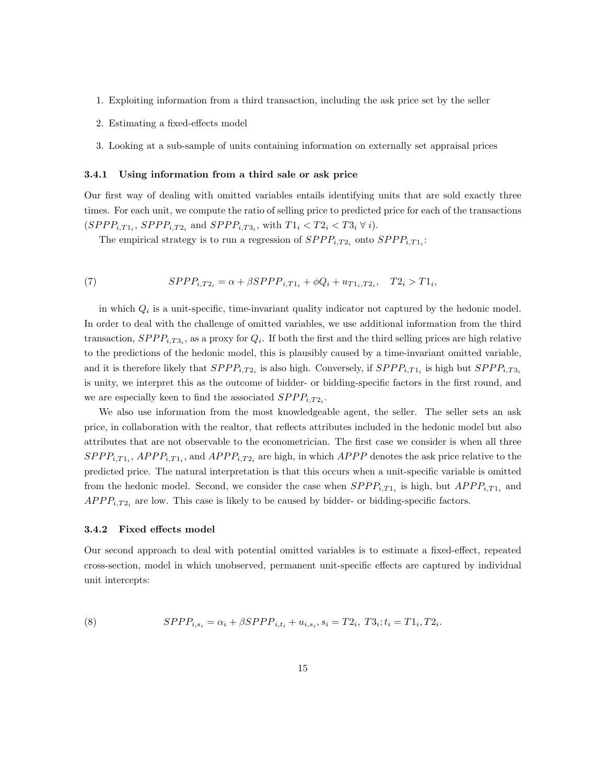- 1. Exploiting information from a third transaction, including the ask price set by the seller
- 2. Estimating a fixed-effects model
- 3. Looking at a sub-sample of units containing information on externally set appraisal prices

#### 3.4.1 Using information from a third sale or ask price

Our first way of dealing with omitted variables entails identifying units that are sold exactly three times. For each unit, we compute the ratio of selling price to predicted price for each of the transactions  $(SPPP_{i,T1_i}, SPPP_{i,T2_i} \text{ and } SPPP_{i,T3_i}, \text{ with } T1_i < T2_i < T3_i \; \forall \; i).$ 

The empirical strategy is to run a regression of  $SPPP_{i,T2_i}$  onto  $SPPP_{i,T1_i}$ :

(7) 
$$
SPPP_{i,T2_i} = \alpha + \beta SPPP_{i,T1_i} + \phi Q_i + u_{T1_i,T2_i}, \quad T2_i > T1_i,
$$

in which  $Q_i$  is a unit-specific, time-invariant quality indicator not captured by the hedonic model. In order to deal with the challenge of omitted variables, we use additional information from the third transaction,  $SPPP_{i,T3_i}$ , as a proxy for  $Q_i$ . If both the first and the third selling prices are high relative to the predictions of the hedonic model, this is plausibly caused by a time-invariant omitted variable, and it is therefore likely that  $SPPP_{i,T2_i}$  is also high. Conversely, if  $SPPP_{i,T1_i}$  is high but  $SPPP_{i,T3_i}$ is unity, we interpret this as the outcome of bidder- or bidding-specific factors in the first round, and we are especially keen to find the associated  $SPPP_{i,T2_i}$ .

We also use information from the most knowledgeable agent, the seller. The seller sets an ask price, in collaboration with the realtor, that reflects attributes included in the hedonic model but also attributes that are not observable to the econometrician. The first case we consider is when all three  $SPPP_{i,T1_i}$ ,  $APP_{i,T1_i}$ , and  $APP_{i,T2_i}$  are high, in which  $APPP$  denotes the ask price relative to the predicted price. The natural interpretation is that this occurs when a unit-specific variable is omitted from the hedonic model. Second, we consider the case when  $SPPP_{i,T1_i}$  is high, but  $APP_{i,T1_i}$  and  $APPP_{i,T2_i}$  are low. This case is likely to be caused by bidder- or bidding-specific factors.

#### 3.4.2 Fixed effects model

Our second approach to deal with potential omitted variables is to estimate a fixed-effect, repeated cross-section, model in which unobserved, permanent unit-specific effects are captured by individual unit intercepts:

(8) 
$$
SPPP_{i,s_i} = \alpha_i + \beta SPPP_{i,t_i} + u_{i,s_i}, s_i = T2_i, T3_i; t_i = T1_i, T2_i.
$$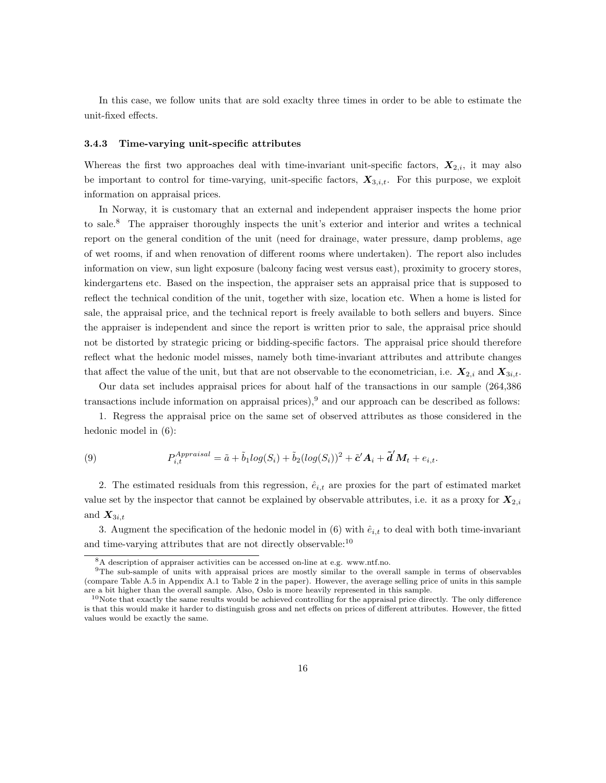In this case, we follow units that are sold exaclty three times in order to be able to estimate the unit-fixed effects.

#### 3.4.3 Time-varying unit-specific attributes

Whereas the first two approaches deal with time-invariant unit-specific factors,  $X_{2,i}$ , it may also be important to control for time-varying, unit-specific factors,  $X_{3,i,t}$ . For this purpose, we exploit information on appraisal prices.

In Norway, it is customary that an external and independent appraiser inspects the home prior to sale.<sup>8</sup> The appraiser thoroughly inspects the unit's exterior and interior and writes a technical report on the general condition of the unit (need for drainage, water pressure, damp problems, age of wet rooms, if and when renovation of different rooms where undertaken). The report also includes information on view, sun light exposure (balcony facing west versus east), proximity to grocery stores, kindergartens etc. Based on the inspection, the appraiser sets an appraisal price that is supposed to reflect the technical condition of the unit, together with size, location etc. When a home is listed for sale, the appraisal price, and the technical report is freely available to both sellers and buyers. Since the appraiser is independent and since the report is written prior to sale, the appraisal price should not be distorted by strategic pricing or bidding-specific factors. The appraisal price should therefore reflect what the hedonic model misses, namely both time-invariant attributes and attribute changes that affect the value of the unit, but that are not observable to the econometrician, i.e.  $X_{2,i}$  and  $X_{3i,t}$ .

Our data set includes appraisal prices for about half of the transactions in our sample (264,386 transactions include information on appraisal prices),<sup>9</sup> and our approach can be described as follows:

1. Regress the appraisal price on the same set of observed attributes as those considered in the hedonic model in (6):

(9) 
$$
P_{i,t}^{Approxial} = \tilde{a} + \tilde{b}_1 log(S_i) + \tilde{b}_2 (log(S_i))^2 + \tilde{c}' A_i + \tilde{d}' M_t + e_{i,t}.
$$

2. The estimated residuals from this regression,  $\hat{e}_{i,t}$  are proxies for the part of estimated market value set by the inspector that cannot be explained by observable attributes, i.e. it as a proxy for  $X_{2,i}$ and  $X_{3i,t}$ 

3. Augment the specification of the hedonic model in (6) with  $\hat{e}_{i,t}$  to deal with both time-invariant and time-varying attributes that are not directly observable:  $10$ 

<sup>8</sup>A description of appraiser activities can be accessed on-line at e.g. www.ntf.no.

<sup>9</sup>The sub-sample of units with appraisal prices are mostly similar to the overall sample in terms of observables (compare Table A.5 in Appendix A.1 to Table 2 in the paper). However, the average selling price of units in this sample are a bit higher than the overall sample. Also, Oslo is more heavily represented in this sample.

 $10$ Note that exactly the same results would be achieved controlling for the appraisal price directly. The only difference is that this would make it harder to distinguish gross and net effects on prices of different attributes. However, the fitted values would be exactly the same.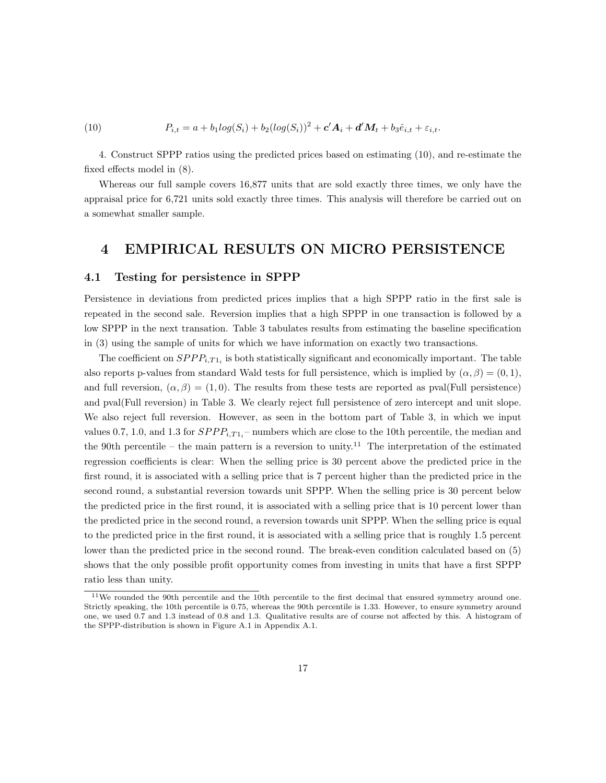(10) 
$$
P_{i,t} = a + b_1 log(S_i) + b_2 (log(S_i))^2 + c' A_i + d' M_t + b_3 \hat{e}_{i,t} + \varepsilon_{i,t}.
$$

4. Construct SPPP ratios using the predicted prices based on estimating (10), and re-estimate the fixed effects model in (8).

Whereas our full sample covers 16,877 units that are sold exactly three times, we only have the appraisal price for 6,721 units sold exactly three times. This analysis will therefore be carried out on a somewhat smaller sample.

## 4 EMPIRICAL RESULTS ON MICRO PERSISTENCE

#### 4.1 Testing for persistence in SPPP

Persistence in deviations from predicted prices implies that a high SPPP ratio in the first sale is repeated in the second sale. Reversion implies that a high SPPP in one transaction is followed by a low SPPP in the next transation. Table 3 tabulates results from estimating the baseline specification in (3) using the sample of units for which we have information on exactly two transactions.

The coefficient on  $SPPP_{i,T_1i}$  is both statistically significant and economically important. The table also reports p-values from standard Wald tests for full persistence, which is implied by  $(\alpha, \beta) = (0, 1)$ , and full reversion,  $(\alpha, \beta) = (1, 0)$ . The results from these tests are reported as pval(Full persistence) and pval(Full reversion) in Table 3. We clearly reject full persistence of zero intercept and unit slope. We also reject full reversion. However, as seen in the bottom part of Table 3, in which we input values 0.7, 1.0, and 1.3 for  $SPPP_{i,T1i}$  – numbers which are close to the 10th percentile, the median and the 90th percentile – the main pattern is a reversion to unity.<sup>11</sup> The interpretation of the estimated regression coefficients is clear: When the selling price is 30 percent above the predicted price in the first round, it is associated with a selling price that is 7 percent higher than the predicted price in the second round, a substantial reversion towards unit SPPP. When the selling price is 30 percent below the predicted price in the first round, it is associated with a selling price that is 10 percent lower than the predicted price in the second round, a reversion towards unit SPPP. When the selling price is equal to the predicted price in the first round, it is associated with a selling price that is roughly 1.5 percent lower than the predicted price in the second round. The break-even condition calculated based on (5) shows that the only possible profit opportunity comes from investing in units that have a first SPPP ratio less than unity.

<sup>11</sup>We rounded the 90th percentile and the 10th percentile to the first decimal that ensured symmetry around one. Strictly speaking, the 10th percentile is 0.75, whereas the 90th percentile is 1.33. However, to ensure symmetry around one, we used 0.7 and 1.3 instead of 0.8 and 1.3. Qualitative results are of course not affected by this. A histogram of the SPPP-distribution is shown in Figure A.1 in Appendix A.1.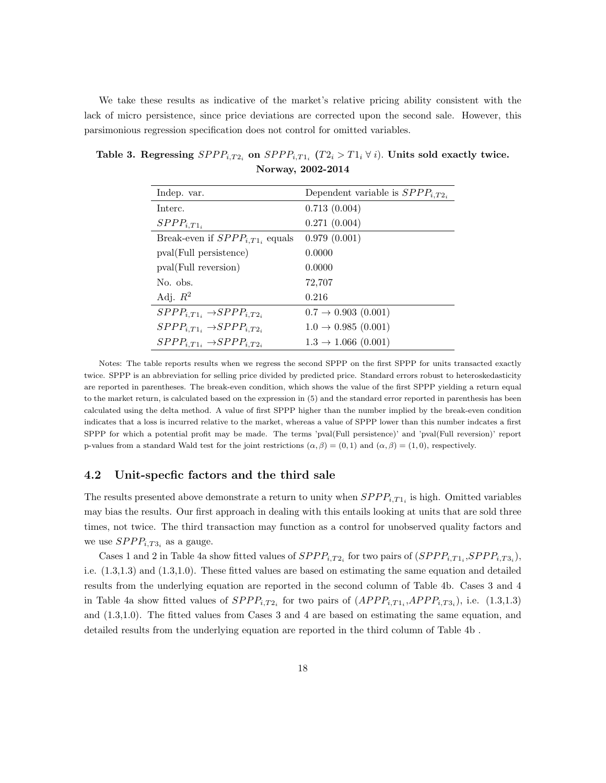We take these results as indicative of the market's relative pricing ability consistent with the lack of micro persistence, since price deviations are corrected upon the second sale. However, this parsimonious regression specification does not control for omitted variables.

| Indep. var.                               | Dependent variable is $SPPP_{i,T2_i}$ |
|-------------------------------------------|---------------------------------------|
| Interc.                                   | 0.713(0.004)                          |
| $SPPP_{i,T1_i}$                           | 0.271(0.004)                          |
| Break-even if $SPPP_{i,T1_i}$ equals      | 0.979(0.001)                          |
| pval(Full persistence)                    | 0.0000                                |
| pval(Full reversion)                      | 0.0000                                |
| No. obs.                                  | 72,707                                |
| Adj. $R^2$                                | 0.216                                 |
| $SPPP_{i,T1_i} \rightarrow SPPP_{i,T2_i}$ | $0.7 \rightarrow 0.903$ (0.001)       |
| $SPPP_{i,T1_i} \rightarrow SPPP_{i,T2_i}$ | $1.0 \rightarrow 0.985(0.001)$        |
| $SPPP_{i,T1_i} \rightarrow SPPP_{i,T2_i}$ | $1.3 \rightarrow 1.066(0.001)$        |

Table 3. Regressing  $SPPP_{i,T2_i}$  on  $SPPP_{i,T1_i}$   $(T2_i > T1_i \forall i)$ . Units sold exactly twice. Norway, 2002-2014

Notes: The table reports results when we regress the second SPPP on the first SPPP for units transacted exactly twice. SPPP is an abbreviation for selling price divided by predicted price. Standard errors robust to heteroskedasticity are reported in parentheses. The break-even condition, which shows the value of the first SPPP yielding a return equal to the market return, is calculated based on the expression in (5) and the standard error reported in parenthesis has been calculated using the delta method. A value of first SPPP higher than the number implied by the break-even condition indicates that a loss is incurred relative to the market, whereas a value of SPPP lower than this number indcates a first SPPP for which a potential profit may be made. The terms 'pval(Full persistence)' and 'pval(Full reversion)' report p-values from a standard Wald test for the joint restrictions  $(\alpha, \beta) = (0, 1)$  and  $(\alpha, \beta) = (1, 0)$ , respectively.

### 4.2 Unit-specfic factors and the third sale

The results presented above demonstrate a return to unity when  $SPPP_{i,T1_i}$  is high. Omitted variables may bias the results. Our first approach in dealing with this entails looking at units that are sold three times, not twice. The third transaction may function as a control for unobserved quality factors and we use  $SPPP_{i,T3i}$  as a gauge.

Cases 1 and 2 in Table 4a show fitted values of  $SPPP_{i,T2_i}$  for two pairs of  $(SPPP_{i,T1_i}, SPPP_{i,T3_i}),$ i.e. (1.3,1.3) and (1.3,1.0). These fitted values are based on estimating the same equation and detailed results from the underlying equation are reported in the second column of Table 4b. Cases 3 and 4 in Table 4a show fitted values of  $SPPP_{i,T2_i}$  for two pairs of  $(APPP_{i,T1_i}, APPP_{i,T3_i})$ , i.e.  $(1.3,1.3)$ and (1.3,1.0). The fitted values from Cases 3 and 4 are based on estimating the same equation, and detailed results from the underlying equation are reported in the third column of Table 4b .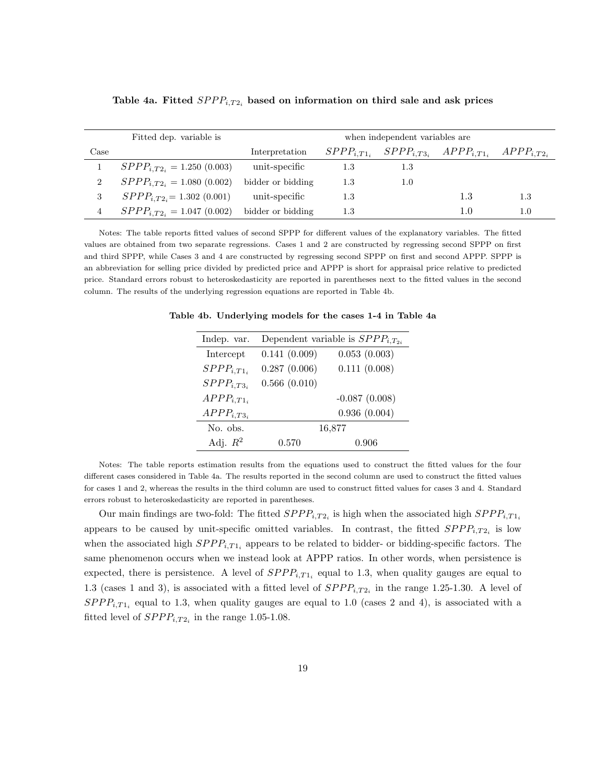|                | Fitted dep. variable is      |                   |         | when independent variables are                                        |     |         |
|----------------|------------------------------|-------------------|---------|-----------------------------------------------------------------------|-----|---------|
| Case           |                              | Interpretation    |         | $SPPP_{i,T1_i}$ , $SPPP_{i,T3_i}$ , $APPP_{i,T1_i}$ , $APPP_{i,T2_i}$ |     |         |
|                | $SPPP_{i,T2_i}=1.250(0.003)$ | unit-specific     | 1.3     | $1.3\,$                                                               |     |         |
| $\overline{2}$ | $SPPP_{i,T2_i}=1.080(0.002)$ | bidder or bidding | 1.3     | 1.0                                                                   |     |         |
| 3              | $SPPP_{i,T2}=1.302(0.001)$   | unit-specific     | $1.3\,$ |                                                                       | 1.3 | $1.3\,$ |
| 4              | $SPPP_{i,T2_i}=1.047(0.002)$ | bidder or bidding | 1.3     |                                                                       | 1.0 | 1.0     |

Table 4a. Fitted  $SPPP_{i,T2_i}$  based on information on third sale and ask prices

Notes: The table reports fitted values of second SPPP for different values of the explanatory variables. The fitted values are obtained from two separate regressions. Cases 1 and 2 are constructed by regressing second SPPP on first and third SPPP, while Cases 3 and 4 are constructed by regressing second SPPP on first and second APPP. SPPP is an abbreviation for selling price divided by predicted price and APPP is short for appraisal price relative to predicted price. Standard errors robust to heteroskedasticity are reported in parentheses next to the fitted values in the second column. The results of the underlying regression equations are reported in Table 4b.

Table 4b. Underlying models for the cases 1-4 in Table 4a

| Indep. var.     |              | Dependent variable is $SPPP_{i,T_{2i}}$ |
|-----------------|--------------|-----------------------------------------|
| Intercept       | 0.141(0.009) | 0.053(0.003)                            |
| $SPPP_{i,T1_i}$ | 0.287(0.006) | 0.111(0.008)                            |
| $SPPP_{i,T3_i}$ | 0.566(0.010) |                                         |
| $APPP_{i,T1_i}$ |              | $-0.087(0.008)$                         |
| $APPP_{i,T3_i}$ |              | 0.936(0.004)                            |
| No. obs.        |              | 16,877                                  |
| Adj. $R^2$      | 0.570        | 0.906                                   |

Notes: The table reports estimation results from the equations used to construct the fitted values for the four different cases considered in Table 4a. The results reported in the second column are used to construct the fitted values for cases 1 and 2, whereas the results in the third column are used to construct fitted values for cases 3 and 4. Standard errors robust to heteroskedasticity are reported in parentheses.

Our main findings are two-fold: The fitted  $SPPP_{i,T2_i}$  is high when the associated high  $SPPP_{i,T1_i}$ appears to be caused by unit-specific omitted variables. In contrast, the fitted  $SPPP_{i,T2_i}$  is low when the associated high  $SPPP_{i,T1_i}$  appears to be related to bidder- or bidding-specific factors. The same phenomenon occurs when we instead look at APPP ratios. In other words, when persistence is expected, there is persistence. A level of  $SPPP_{i,T1_i}$  equal to 1.3, when quality gauges are equal to 1.3 (cases 1 and 3), is associated with a fitted level of  $SPPP_{i,T2_i}$  in the range 1.25-1.30. A level of  $SPPP_{i,T1_i}$  equal to 1.3, when quality gauges are equal to 1.0 (cases 2 and 4), is associated with a fitted level of  $SPPP_{i,T2_i}$  in the range 1.05-1.08.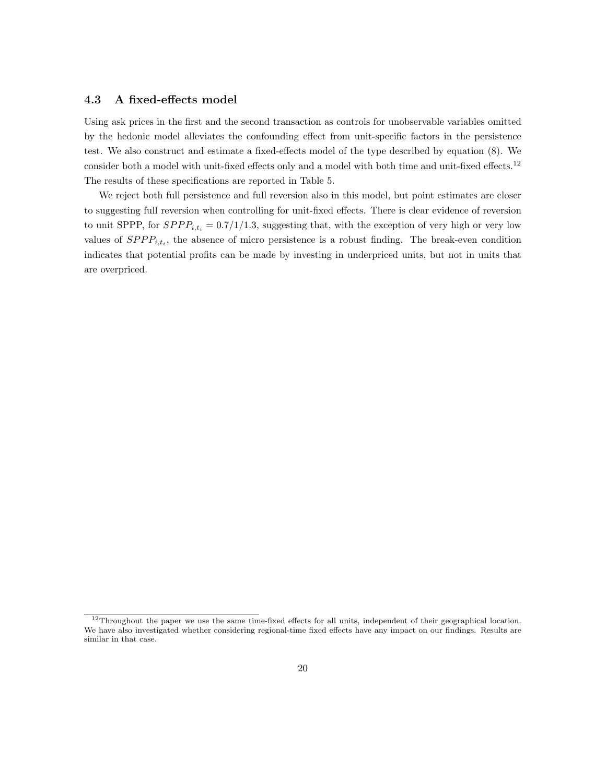## 4.3 A fixed-effects model

Using ask prices in the first and the second transaction as controls for unobservable variables omitted by the hedonic model alleviates the confounding effect from unit-specific factors in the persistence test. We also construct and estimate a fixed-effects model of the type described by equation (8). We consider both a model with unit-fixed effects only and a model with both time and unit-fixed effects.<sup>12</sup> The results of these specifications are reported in Table 5.

We reject both full persistence and full reversion also in this model, but point estimates are closer to suggesting full reversion when controlling for unit-fixed effects. There is clear evidence of reversion to unit SPPP, for  $SPPP_{i,t_i} = 0.7/1/1.3$ , suggesting that, with the exception of very high or very low values of  $SPPP_{i,t_i}$ , the absence of micro persistence is a robust finding. The break-even condition indicates that potential profits can be made by investing in underpriced units, but not in units that are overpriced.

<sup>12</sup>Throughout the paper we use the same time-fixed effects for all units, independent of their geographical location. We have also investigated whether considering regional-time fixed effects have any impact on our findings. Results are similar in that case.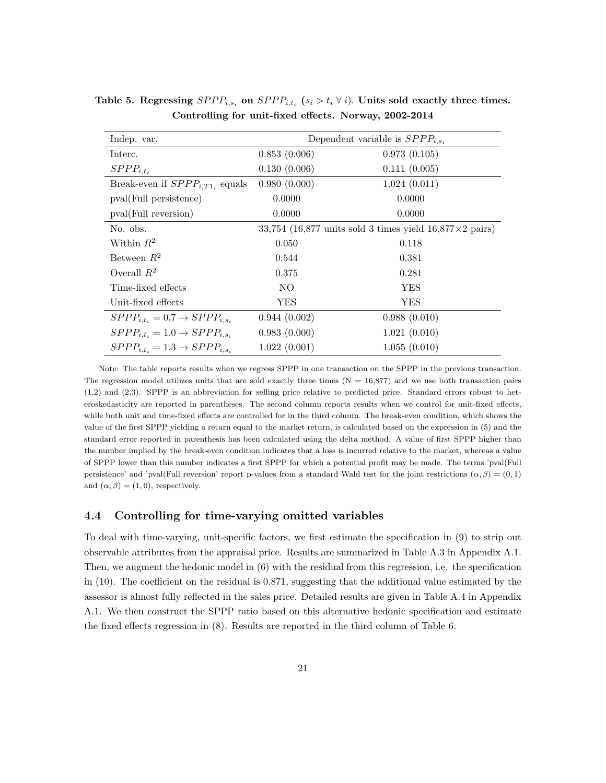| Indep. var.                                 |              | Dependent variable is $SPPP_{i,s_i}$                             |
|---------------------------------------------|--------------|------------------------------------------------------------------|
| Interc.                                     | 0.853(0.006) | 0.973(0.105)                                                     |
| $SPPP_{i,t_i}$                              | 0.130(0.006) | 0.111(0.005)                                                     |
| Break-even if $SPPP_{i,T_1}$ equals         | 0.980(0.000) | 1.024(0.011)                                                     |
| pval(Full persistence)                      | 0.0000       | 0.0000                                                           |
| pval(Full reversion)                        | 0.0000       | 0.0000                                                           |
| No. obs.                                    |              | 33,754 (16,877 units sold 3 times yield $16,877 \times 2$ pairs) |
| Within $R^2$                                | 0.050        | 0.118                                                            |
| Between $R^2$                               | 0.544        | 0.381                                                            |
| Overall $R^2$                               | 0.375        | 0.281                                                            |
| Time-fixed effects                          | NO.          | YES                                                              |
| Unit-fixed effects                          | YES          | YES                                                              |
| $SPPP_{i,t_i}=0.7 \rightarrow SPPP_{i,s_i}$ | 0.944(0.002) | 0.988(0.010)                                                     |
| $SPPP_{i,t_i}=1.0 \rightarrow SPPP_{i,s_i}$ | 0.983(0.000) | 1.021(0.010)                                                     |
| $SPPP_{i.t.}=1.3 \rightarrow SPPP_{i.s.}$   | 1.022(0.001) | 1.055(0.010)                                                     |

Table 5. Regressing  $SPPP_{i,s_i}$  on  $SPPP_{i,t_i}$  ( $s_i > t_i \forall i$ ). Units sold exactly three times. Controlling for unit-fixed effects. Norway, 2002-2014

Note: The table reports results when we regress SPPP in one transaction on the SPPP in the previous transaction. The regression model utilizes units that are sold exactly three times  $(N = 16,877)$  and we use both transaction pairs (1,2) and (2,3). SPPP is an abbreviation for selling price relative to predicted price. Standard errors robust to heteroskedasticity are reported in parentheses. The second column reports results when we control for unit-fixed effects, while both unit and time-fixed effects are controlled for in the third column. The break-even condition, which shows the value of the first SPPP yielding a return equal to the market return, is calculated based on the expression in (5) and the standard error reported in parenthesis has been calculated using the delta method. A value of first SPPP higher than the number implied by the break-even condition indicates that a loss is incurred relative to the market, whereas a value of SPPP lower than this number indicates a first SPPP for which a potential profit may be made. The terms 'pval(Full persistence' and 'pval(Full reversion' report p-values from a standard Wald test for the joint restrictions  $(\alpha, \beta) = (0, 1)$ and  $(\alpha, \beta) = (1, 0)$ , respectively.

#### 4.4 Controlling for time-varying omitted variables

To deal with time-varying, unit-specific factors, we first estimate the specification in (9) to strip out observable attributes from the appraisal price. Results are summarized in Table A.3 in Appendix A.1. Then, we augment the hedonic model in (6) with the residual from this regression, i.e. the specification in (10). The coefficient on the residual is 0.871, suggesting that the additional value estimated by the assessor is almost fully reflected in the sales price. Detailed results are given in Table A.4 in Appendix A.1. We then construct the SPPP ratio based on this alternative hedonic specification and estimate the fixed effects regression in (8). Results are reported in the third column of Table 6.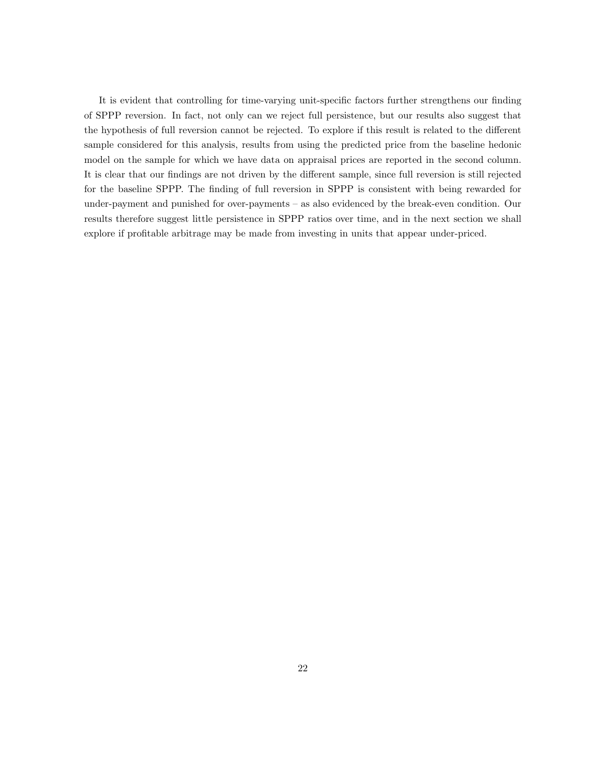It is evident that controlling for time-varying unit-specific factors further strengthens our finding of SPPP reversion. In fact, not only can we reject full persistence, but our results also suggest that the hypothesis of full reversion cannot be rejected. To explore if this result is related to the different sample considered for this analysis, results from using the predicted price from the baseline hedonic model on the sample for which we have data on appraisal prices are reported in the second column. It is clear that our findings are not driven by the different sample, since full reversion is still rejected for the baseline SPPP. The finding of full reversion in SPPP is consistent with being rewarded for under-payment and punished for over-payments – as also evidenced by the break-even condition. Our results therefore suggest little persistence in SPPP ratios over time, and in the next section we shall explore if profitable arbitrage may be made from investing in units that appear under-priced.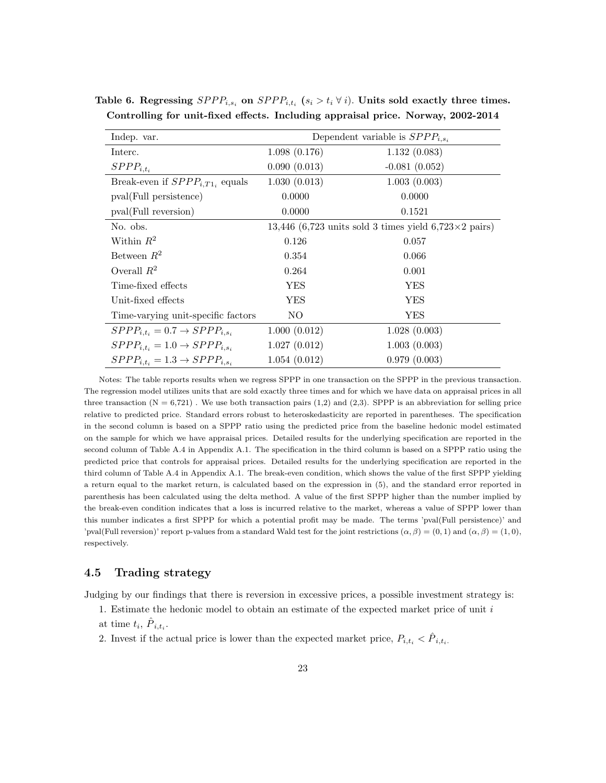| Indep. var.                                 | Dependent variable is $SPPP_{i,s_i}$ |                                                                |  |
|---------------------------------------------|--------------------------------------|----------------------------------------------------------------|--|
| Interc.                                     | 1.098(0.176)                         | 1.132(0.083)                                                   |  |
| $SPPP_{i,t_i}$                              | 0.090(0.013)                         | $-0.081(0.052)$                                                |  |
| Break-even if $SPPP_{i,T1_i}$ equals        | 1.030(0.013)                         | 1.003(0.003)                                                   |  |
| pval(Full persistence)                      | 0.0000                               | 0.0000                                                         |  |
| pval(Full reversion)                        | 0.0000                               | 0.1521                                                         |  |
| No. obs.                                    |                                      | 13,446 (6,723 units sold 3 times yield 6,723 $\times$ 2 pairs) |  |
| Within $R^2$                                | 0.126                                | 0.057                                                          |  |
| Between $R^2$                               | 0.354                                | 0.066                                                          |  |
| Overall $R^2$                               | 0.264                                | 0.001                                                          |  |
| Time-fixed effects                          | YES                                  | YES                                                            |  |
| Unit-fixed effects                          | YES                                  | YES                                                            |  |
| Time-varying unit-specific factors          | NO                                   | YES                                                            |  |
| $SPPP_{i,t_i}=0.7 \rightarrow SPPP_{i,s_i}$ | 1.000(0.012)                         | 1.028(0.003)                                                   |  |
| $SPPP_{i,t_i}=1.0 \rightarrow SPPP_{i,s_i}$ | 1.027(0.012)                         | 1.003(0.003)                                                   |  |
| $SPPP_{i,t_i}=1.3 \rightarrow SPPP_{i,s_i}$ | 1.054(0.012)                         | 0.979(0.003)                                                   |  |

Table 6. Regressing  $SPPP_{i,s_i}$  on  $SPPP_{i,t_i}$  ( $s_i > t_i \forall i$ ). Units sold exactly three times. Controlling for unit-fixed effects. Including appraisal price. Norway, 2002-2014

Notes: The table reports results when we regress SPPP in one transaction on the SPPP in the previous transaction. The regression model utilizes units that are sold exactly three times and for which we have data on appraisal prices in all three transaction  $(N = 6,721)$ . We use both transaction pairs  $(1,2)$  and  $(2,3)$ . SPPP is an abbreviation for selling price relative to predicted price. Standard errors robust to heteroskedasticity are reported in parentheses. The specification in the second column is based on a SPPP ratio using the predicted price from the baseline hedonic model estimated on the sample for which we have appraisal prices. Detailed results for the underlying specification are reported in the second column of Table A.4 in Appendix A.1. The specification in the third column is based on a SPPP ratio using the predicted price that controls for appraisal prices. Detailed results for the underlying specification are reported in the third column of Table A.4 in Appendix A.1. The break-even condition, which shows the value of the first SPPP yielding a return equal to the market return, is calculated based on the expression in (5), and the standard error reported in parenthesis has been calculated using the delta method. A value of the first SPPP higher than the number implied by the break-even condition indicates that a loss is incurred relative to the market, whereas a value of SPPP lower than this number indicates a first SPPP for which a potential profit may be made. The terms 'pval(Full persistence)' and 'pval(Full reversion)' report p-values from a standard Wald test for the joint restrictions  $(\alpha, \beta) = (0, 1)$  and  $(\alpha, \beta) = (1, 0)$ , respectively.

## 4.5 Trading strategy

Judging by our findings that there is reversion in excessive prices, a possible investment strategy is:

- 1. Estimate the hedonic model to obtain an estimate of the expected market price of unit  $i$ at time  $t_i$ ,  $\hat{P}_{i,t_i}$ .
- 2. Invest if the actual price is lower than the expected market price,  $P_{i,t_i} < \hat{P}_{i,t_i}$ .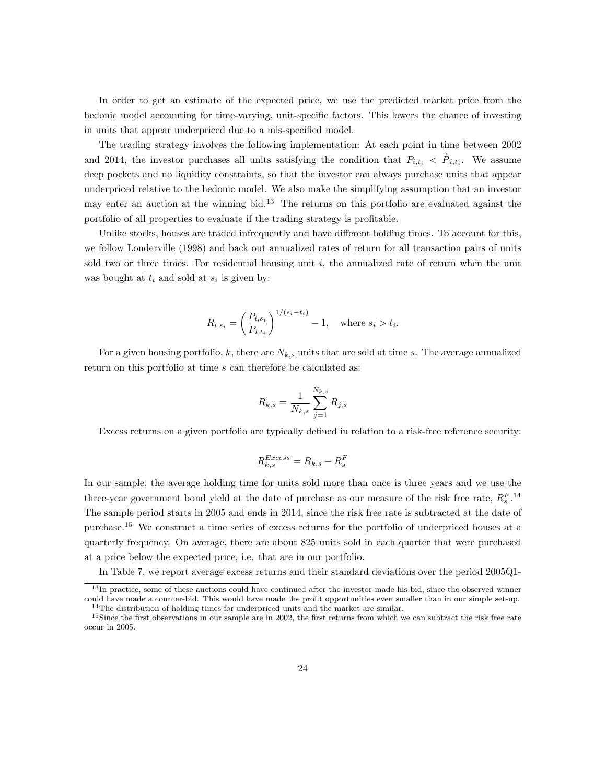In order to get an estimate of the expected price, we use the predicted market price from the hedonic model accounting for time-varying, unit-specific factors. This lowers the chance of investing in units that appear underpriced due to a mis-specified model.

The trading strategy involves the following implementation: At each point in time between 2002 and 2014, the investor purchases all units satisfying the condition that  $P_{i,t_i} < \hat{P}_{i,t_i}$ . We assume deep pockets and no liquidity constraints, so that the investor can always purchase units that appear underpriced relative to the hedonic model. We also make the simplifying assumption that an investor may enter an auction at the winning bid.<sup>13</sup> The returns on this portfolio are evaluated against the portfolio of all properties to evaluate if the trading strategy is profitable.

Unlike stocks, houses are traded infrequently and have different holding times. To account for this, we follow Londerville (1998) and back out annualized rates of return for all transaction pairs of units sold two or three times. For residential housing unit  $i$ , the annualized rate of return when the unit was bought at  $t_i$  and sold at  $s_i$  is given by:

$$
R_{i,s_i} = \left(\frac{P_{i,s_i}}{P_{i,t_i}}\right)^{1/(s_i - t_i)} - 1, \text{ where } s_i > t_i.
$$

For a given housing portfolio, k, there are  $N_{k,s}$  units that are sold at time s. The average annualized return on this portfolio at time s can therefore be calculated as:

$$
R_{k,s} = \frac{1}{N_{k,s}} \sum_{j=1}^{N_{k,s}} R_{j,s}
$$

Excess returns on a given portfolio are typically defined in relation to a risk-free reference security:

$$
R_{k,s}^{Excess} = R_{k,s} - R_s^F
$$

In our sample, the average holding time for units sold more than once is three years and we use the three-year government bond yield at the date of purchase as our measure of the risk free rate,  $R_s^{F.14}$ The sample period starts in 2005 and ends in 2014, since the risk free rate is subtracted at the date of purchase.<sup>15</sup> We construct a time series of excess returns for the portfolio of underpriced houses at a quarterly frequency. On average, there are about 825 units sold in each quarter that were purchased at a price below the expected price, i.e. that are in our portfolio.

In Table 7, we report average excess returns and their standard deviations over the period 2005Q1-

<sup>&</sup>lt;sup>13</sup>In practice, some of these auctions could have continued after the investor made his bid, since the observed winner could have made a counter-bid. This would have made the profit opportunities even smaller than in our simple set-up. <sup>14</sup>The distribution of holding times for underpriced units and the market are similar.

<sup>&</sup>lt;sup>15</sup>Since the first observations in our sample are in 2002, the first returns from which we can subtract the risk free rate occur in 2005.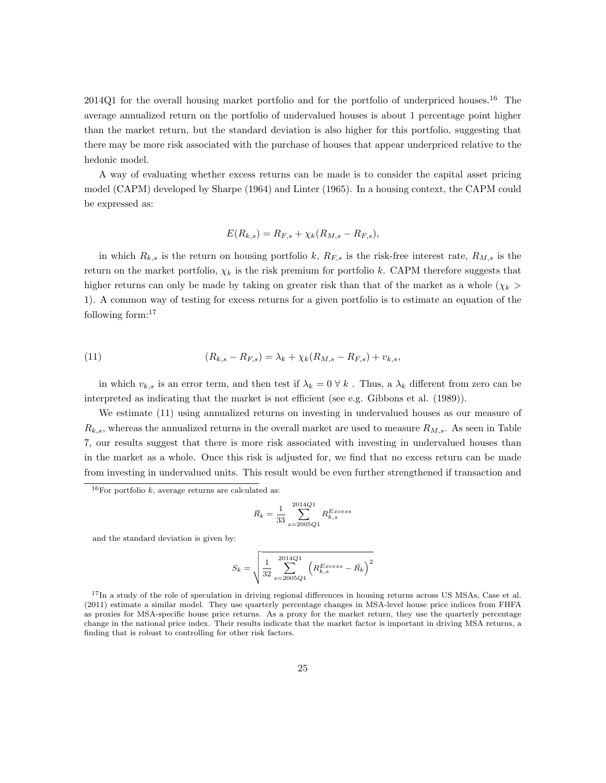2014Q1 for the overall housing market portfolio and for the portfolio of underpriced houses.<sup>16</sup> The average annualized return on the portfolio of undervalued houses is about 1 percentage point higher than the market return, but the standard deviation is also higher for this portfolio, suggesting that there may be more risk associated with the purchase of houses that appear underpriced relative to the hedonic model.

A way of evaluating whether excess returns can be made is to consider the capital asset pricing model (CAPM) developed by Sharpe (1964) and Linter (1965). In a housing context, the CAPM could be expressed as:

$$
E(R_{k,s}) = R_{F,s} + \chi_k(R_{M,s} - R_{F,s}),
$$

in which  $R_{k,s}$  is the return on housing portfolio k,  $R_{F,s}$  is the risk-free interest rate,  $R_{M,s}$  is the return on the market portfolio,  $\chi_k$  is the risk premium for portfolio k. CAPM therefore suggests that higher returns can only be made by taking on greater risk than that of the market as a whole ( $\chi_k$ ) 1). A common way of testing for excess returns for a given portfolio is to estimate an equation of the following form:<sup>17</sup>

(11) 
$$
(R_{k,s} - R_{F,s}) = \lambda_k + \chi_k (R_{M,s} - R_{F,s}) + v_{k,s},
$$

in which  $v_{k,s}$  is an error term, and then test if  $\lambda_k = 0 \forall k$ . Thus, a  $\lambda_k$  different from zero can be interpreted as indicating that the market is not efficient (see e.g. Gibbons et al. (1989)).

We estimate (11) using annualized returns on investing in undervalued houses as our measure of  $R_{k,s}$ , whereas the annualized returns in the overall market are used to measure  $R_{M,s}$ . As seen in Table 7, our results suggest that there is more risk associated with investing in undervalued houses than in the market as a whole. Once this risk is adjusted for, we find that no excess return can be made from investing in undervalued units. This result would be even further strengthened if transaction and

$$
\bar{R_k} = \frac{1}{33} \sum_{s=2005Q1}^{2014Q1} R_{k,s}^{Excess}
$$

and the standard deviation is given by:

$$
S_k = \sqrt{\frac{1}{32} \sum_{s=2005Q1}^{2014Q1} \left( R_{k,s}^{Excess} - \bar{R_k} \right)^2}
$$

<sup>17</sup>In a study of the role of speculation in driving regional differences in housing returns across US MSAs, Case et al. (2011) estimate a similar model. They use quarterly percentage changes in MSA-level house price indices from FHFA as proxies for MSA-specific house price returns. As a proxy for the market return, they use the quarterly percentage change in the national price index. Their results indicate that the market factor is important in driving MSA returns, a finding that is robust to controlling for other risk factors.

 $16$ For portfolio k, average returns are calculated as: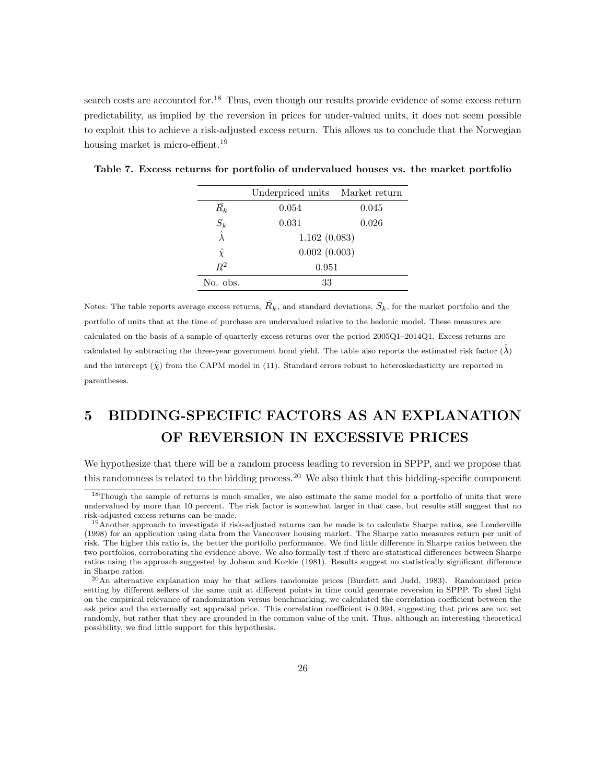search costs are accounted for.<sup>18</sup> Thus, even though our results provide evidence of some excess return predictability, as implied by the reversion in prices for under-valued units, it does not seem possible to exploit this to achieve a risk-adjusted excess return. This allows us to conclude that the Norwegian housing market is micro-effient.<sup>19</sup>

|                 | Underpriced units Market return |       |
|-----------------|---------------------------------|-------|
| $\bar{R_k}$     | 0.054                           | 0.045 |
| $S_k$           | 0.031                           | 0.026 |
| $\hat{\lambda}$ | 1.162(0.083)                    |       |
| $\hat{\chi}$    | 0.002(0.003)                    |       |
| $R^2$           | 0.951                           |       |
| No. obs.        | 33                              |       |

Table 7. Excess returns for portfolio of undervalued houses vs. the market portfolio

Notes: The table reports average excess returns,  $\bar{R_k}$ , and standard deviations,  $S_k$ , for the market portfolio and the portfolio of units that at the time of purchase are undervalued relative to the hedonic model. These measures are calculated on the basis of a sample of quarterly excess returns over the period 2005Q1–2014Q1. Excess returns are calculated by subtracting the three-year government bond yield. The table also reports the estimated risk factor  $(\lambda)$ and the intercept  $(\hat{\chi})$  from the CAPM model in (11). Standard errors robust to heteroskedasticity are reported in parentheses.

# 5 BIDDING-SPECIFIC FACTORS AS AN EXPLANATION OF REVERSION IN EXCESSIVE PRICES

We hypothesize that there will be a random process leading to reversion in SPPP, and we propose that this randomness is related to the bidding process.<sup>20</sup> We also think that this bidding-specific component

 $\frac{18}{18}$ Though the sample of returns is much smaller, we also estimate the same model for a portfolio of units that were undervalued by more than 10 percent. The risk factor is somewhat larger in that case, but results still suggest that no risk-adjusted excess returns can be made.

<sup>19</sup>Another approach to investigate if risk-adjusted returns can be made is to calculate Sharpe ratios, see Londerville (1998) for an application using data from the Vancouver housing market. The Sharpe ratio measures return per unit of risk. The higher this ratio is, the better the portfolio performance. We find little difference in Sharpe ratios between the two portfolios, corroborating the evidence above. We also formally test if there are statistical differences between Sharpe ratios using the approach suggested by Jobson and Korkie (1981). Results suggest no statistically significant difference in Sharpe ratios.

 $^{20}$ An alternative explanation may be that sellers randomize prices (Burdett and Judd, 1983). Randomized price setting by different sellers of the same unit at different points in time could generate reversion in SPPP. To shed light on the empirical relevance of randomization versus benchmarking, we calculated the correlation coefficient between the ask price and the externally set appraisal price. This correlation coefficient is 0.994, suggesting that prices are not set randomly, but rather that they are grounded in the common value of the unit. Thus, although an interesting theoretical possibility, we find little support for this hypothesis.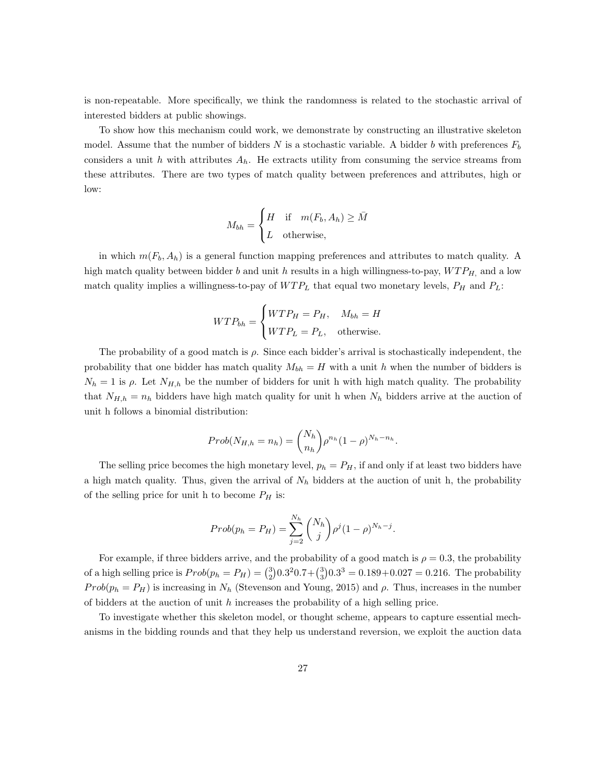is non-repeatable. More specifically, we think the randomness is related to the stochastic arrival of interested bidders at public showings.

To show how this mechanism could work, we demonstrate by constructing an illustrative skeleton model. Assume that the number of bidders N is a stochastic variable. A bidder b with preferences  $F_b$ considers a unit h with attributes  $A_h$ . He extracts utility from consuming the service streams from these attributes. There are two types of match quality between preferences and attributes, high or low:

$$
M_{bh} = \begin{cases} H & \text{if } m(F_b, A_h) \ge \bar{M} \\ L & \text{otherwise,} \end{cases}
$$

in which  $m(F_b, A_h)$  is a general function mapping preferences and attributes to match quality. A high match quality between bidder b and unit h results in a high willingness-to-pay,  $WTP_{H}$ , and a low match quality implies a willingness-to-pay of  $WTP_L$  that equal two monetary levels,  $P_H$  and  $P_L$ :

$$
WTP_{bh} = \begin{cases} WTP_H = P_H, & M_{bh} = H \\ WTP_L = P_L, & \text{otherwise.} \end{cases}
$$

The probability of a good match is  $\rho$ . Since each bidder's arrival is stochastically independent, the probability that one bidder has match quality  $M_{bh} = H$  with a unit h when the number of bidders is  $N_h = 1$  is  $\rho$ . Let  $N_{H,h}$  be the number of bidders for unit h with high match quality. The probability that  $N_{H,h} = n_h$  bidders have high match quality for unit h when  $N_h$  bidders arrive at the auction of unit h follows a binomial distribution:

$$
Prob(N_{H,h}=n_h)=\binom{N_h}{n_h}\rho^{n_h}(1-\rho)^{N_h-n_h}.
$$

The selling price becomes the high monetary level,  $p_h = P_H$ , if and only if at least two bidders have a high match quality. Thus, given the arrival of  $N<sub>h</sub>$  bidders at the auction of unit h, the probability of the selling price for unit h to become  $P_H$  is:

$$
Prob(p_h = P_H) = \sum_{j=2}^{N_h} {N_h \choose j} \rho^j (1 - \rho)^{N_h - j}.
$$

For example, if three bidders arrive, and the probability of a good match is  $\rho = 0.3$ , the probability of a high selling price is  $Prob(p_h = P_H) = {3 \choose 2} 0.3^2 0.7 + {3 \choose 3} 0.3^3 = 0.189 + 0.027 = 0.216$ . The probability  $Prob(p_h = P_H)$  is increasing in  $N_h$  (Stevenson and Young, 2015) and  $\rho$ . Thus, increases in the number of bidders at the auction of unit h increases the probability of a high selling price.

To investigate whether this skeleton model, or thought scheme, appears to capture essential mechanisms in the bidding rounds and that they help us understand reversion, we exploit the auction data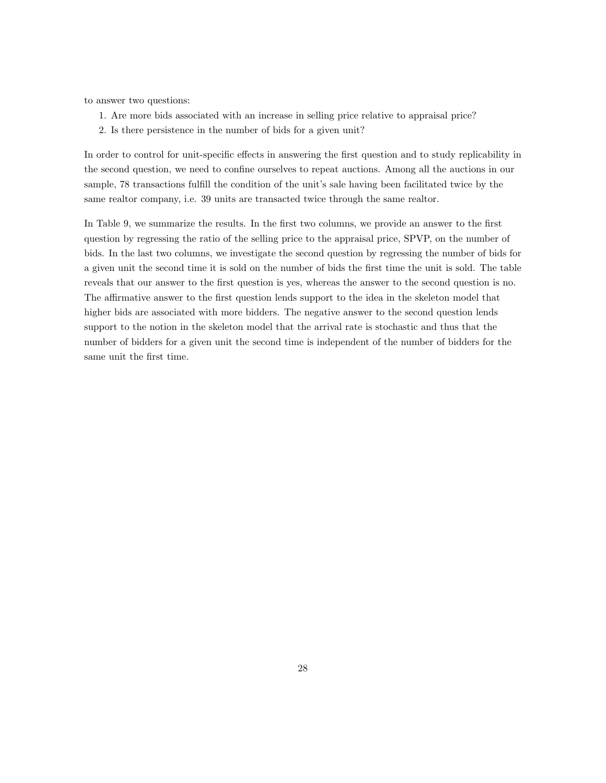to answer two questions:

- 1. Are more bids associated with an increase in selling price relative to appraisal price?
- 2. Is there persistence in the number of bids for a given unit?

In order to control for unit-specific effects in answering the first question and to study replicability in the second question, we need to confine ourselves to repeat auctions. Among all the auctions in our sample, 78 transactions fulfill the condition of the unit's sale having been facilitated twice by the same realtor company, i.e. 39 units are transacted twice through the same realtor.

In Table 9, we summarize the results. In the first two columns, we provide an answer to the first question by regressing the ratio of the selling price to the appraisal price, SPVP, on the number of bids. In the last two columns, we investigate the second question by regressing the number of bids for a given unit the second time it is sold on the number of bids the first time the unit is sold. The table reveals that our answer to the first question is yes, whereas the answer to the second question is no. The affirmative answer to the first question lends support to the idea in the skeleton model that higher bids are associated with more bidders. The negative answer to the second question lends support to the notion in the skeleton model that the arrival rate is stochastic and thus that the number of bidders for a given unit the second time is independent of the number of bidders for the same unit the first time.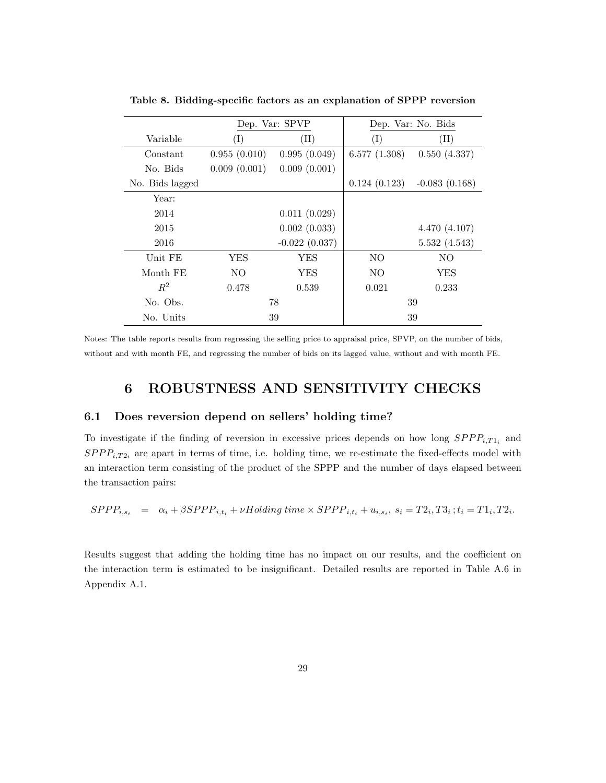|                 | Dep. Var: SPVP |                 |              | Dep. Var: No. Bids |
|-----------------|----------------|-----------------|--------------|--------------------|
| Variable        | $(\mathrm{I})$ | $(\mathrm{II})$ | (I)          | $(\mathrm{II})$    |
| Constant        | 0.955(0.010)   | 0.995(0.049)    | 6.577(1.308) | 0.550(4.337)       |
| No. Bids        | 0.009(0.001)   | 0.009(0.001)    |              |                    |
| No. Bids lagged |                |                 | 0.124(0.123) | $-0.083(0.168)$    |
| Year:           |                |                 |              |                    |
| 2014            |                | 0.011(0.029)    |              |                    |
| 2015            |                | 0.002(0.033)    |              | 4.470(4.107)       |
| 2016            |                | $-0.022(0.037)$ |              | 5.532(4.543)       |
| Unit FE         | YES            | YES             | NO           | NO.                |
| Month FE        | NO.            | YES             | NO           | YES                |
| $R^2$           | 0.478          | 0.539           | 0.021        | 0.233              |
| No. Obs.        | 78             |                 |              | 39                 |
| No. Units       | 39             |                 |              | 39                 |

Table 8. Bidding-specific factors as an explanation of SPPP reversion

Notes: The table reports results from regressing the selling price to appraisal price, SPVP, on the number of bids, without and with month FE, and regressing the number of bids on its lagged value, without and with month FE.

## 6 ROBUSTNESS AND SENSITIVITY CHECKS

### 6.1 Does reversion depend on sellers' holding time?

To investigate if the finding of reversion in excessive prices depends on how long  $SPPP_{i,T1_i}$  and  $SPPP_{i,T2}$  are apart in terms of time, i.e. holding time, we re-estimate the fixed-effects model with an interaction term consisting of the product of the SPPP and the number of days elapsed between the transaction pairs:

$$
SPPP_{i,s_i} = \alpha_i + \beta SPPP_{i,t_i} + \nu Holding\ time \times SPPP_{i,t_i} + u_{i,s_i}, \ s_i = T2_i, T3_i; t_i = T1_i, T2_i.
$$

Results suggest that adding the holding time has no impact on our results, and the coefficient on the interaction term is estimated to be insignificant. Detailed results are reported in Table A.6 in Appendix A.1.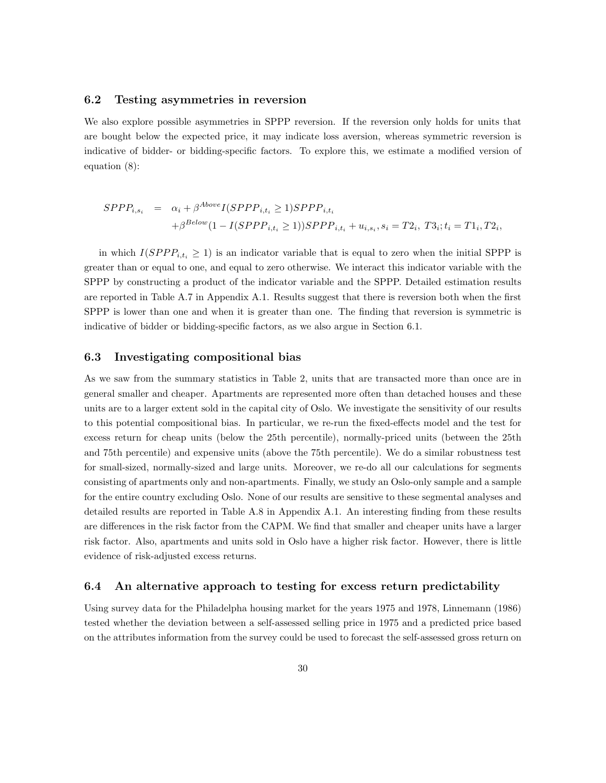#### 6.2 Testing asymmetries in reversion

We also explore possible asymmetries in SPPP reversion. If the reversion only holds for units that are bought below the expected price, it may indicate loss aversion, whereas symmetric reversion is indicative of bidder- or bidding-specific factors. To explore this, we estimate a modified version of equation (8):

$$
SPPP_{i,s_i} = \alpha_i + \beta^{Above} I(SPPP_{i,t_i} \ge 1) SPPP_{i,t_i} + \beta^{Below} (1 - I(SPPP_{i,t_i} \ge 1)) SPPP_{i,t_i} + u_{i,s_i}, s_i = T2_i, T3_i; t_i = T1_i, T2_i,
$$

in which  $I(SPPP_{i,t_i} \geq 1)$  is an indicator variable that is equal to zero when the initial SPPP is greater than or equal to one, and equal to zero otherwise. We interact this indicator variable with the SPPP by constructing a product of the indicator variable and the SPPP. Detailed estimation results are reported in Table A.7 in Appendix A.1. Results suggest that there is reversion both when the first SPPP is lower than one and when it is greater than one. The finding that reversion is symmetric is indicative of bidder or bidding-specific factors, as we also argue in Section 6.1.

### 6.3 Investigating compositional bias

As we saw from the summary statistics in Table 2, units that are transacted more than once are in general smaller and cheaper. Apartments are represented more often than detached houses and these units are to a larger extent sold in the capital city of Oslo. We investigate the sensitivity of our results to this potential compositional bias. In particular, we re-run the fixed-effects model and the test for excess return for cheap units (below the 25th percentile), normally-priced units (between the 25th and 75th percentile) and expensive units (above the 75th percentile). We do a similar robustness test for small-sized, normally-sized and large units. Moreover, we re-do all our calculations for segments consisting of apartments only and non-apartments. Finally, we study an Oslo-only sample and a sample for the entire country excluding Oslo. None of our results are sensitive to these segmental analyses and detailed results are reported in Table A.8 in Appendix A.1. An interesting finding from these results are differences in the risk factor from the CAPM. We find that smaller and cheaper units have a larger risk factor. Also, apartments and units sold in Oslo have a higher risk factor. However, there is little evidence of risk-adjusted excess returns.

#### 6.4 An alternative approach to testing for excess return predictability

Using survey data for the Philadelpha housing market for the years 1975 and 1978, Linnemann (1986) tested whether the deviation between a self-assessed selling price in 1975 and a predicted price based on the attributes information from the survey could be used to forecast the self-assessed gross return on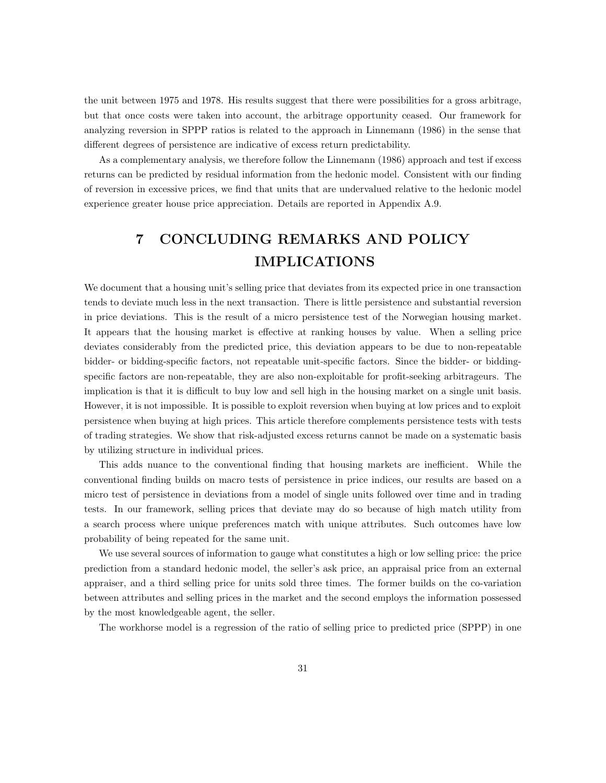the unit between 1975 and 1978. His results suggest that there were possibilities for a gross arbitrage, but that once costs were taken into account, the arbitrage opportunity ceased. Our framework for analyzing reversion in SPPP ratios is related to the approach in Linnemann (1986) in the sense that different degrees of persistence are indicative of excess return predictability.

As a complementary analysis, we therefore follow the Linnemann (1986) approach and test if excess returns can be predicted by residual information from the hedonic model. Consistent with our finding of reversion in excessive prices, we find that units that are undervalued relative to the hedonic model experience greater house price appreciation. Details are reported in Appendix A.9.

# 7 CONCLUDING REMARKS AND POLICY IMPLICATIONS

We document that a housing unit's selling price that deviates from its expected price in one transaction tends to deviate much less in the next transaction. There is little persistence and substantial reversion in price deviations. This is the result of a micro persistence test of the Norwegian housing market. It appears that the housing market is effective at ranking houses by value. When a selling price deviates considerably from the predicted price, this deviation appears to be due to non-repeatable bidder- or bidding-specific factors, not repeatable unit-specific factors. Since the bidder- or biddingspecific factors are non-repeatable, they are also non-exploitable for profit-seeking arbitrageurs. The implication is that it is difficult to buy low and sell high in the housing market on a single unit basis. However, it is not impossible. It is possible to exploit reversion when buying at low prices and to exploit persistence when buying at high prices. This article therefore complements persistence tests with tests of trading strategies. We show that risk-adjusted excess returns cannot be made on a systematic basis by utilizing structure in individual prices.

This adds nuance to the conventional finding that housing markets are inefficient. While the conventional finding builds on macro tests of persistence in price indices, our results are based on a micro test of persistence in deviations from a model of single units followed over time and in trading tests. In our framework, selling prices that deviate may do so because of high match utility from a search process where unique preferences match with unique attributes. Such outcomes have low probability of being repeated for the same unit.

We use several sources of information to gauge what constitutes a high or low selling price: the price prediction from a standard hedonic model, the seller's ask price, an appraisal price from an external appraiser, and a third selling price for units sold three times. The former builds on the co-variation between attributes and selling prices in the market and the second employs the information possessed by the most knowledgeable agent, the seller.

The workhorse model is a regression of the ratio of selling price to predicted price (SPPP) in one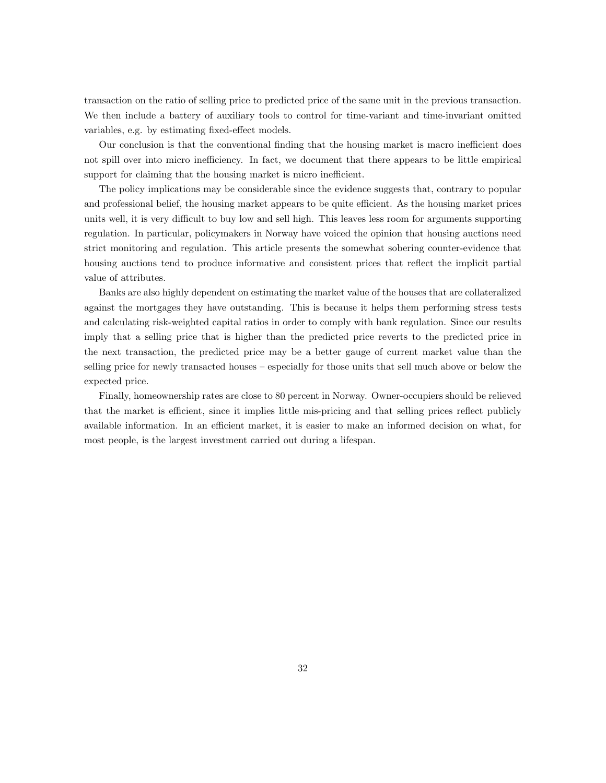transaction on the ratio of selling price to predicted price of the same unit in the previous transaction. We then include a battery of auxiliary tools to control for time-variant and time-invariant omitted variables, e.g. by estimating fixed-effect models.

Our conclusion is that the conventional finding that the housing market is macro inefficient does not spill over into micro inefficiency. In fact, we document that there appears to be little empirical support for claiming that the housing market is micro inefficient.

The policy implications may be considerable since the evidence suggests that, contrary to popular and professional belief, the housing market appears to be quite efficient. As the housing market prices units well, it is very difficult to buy low and sell high. This leaves less room for arguments supporting regulation. In particular, policymakers in Norway have voiced the opinion that housing auctions need strict monitoring and regulation. This article presents the somewhat sobering counter-evidence that housing auctions tend to produce informative and consistent prices that reflect the implicit partial value of attributes.

Banks are also highly dependent on estimating the market value of the houses that are collateralized against the mortgages they have outstanding. This is because it helps them performing stress tests and calculating risk-weighted capital ratios in order to comply with bank regulation. Since our results imply that a selling price that is higher than the predicted price reverts to the predicted price in the next transaction, the predicted price may be a better gauge of current market value than the selling price for newly transacted houses – especially for those units that sell much above or below the expected price.

Finally, homeownership rates are close to 80 percent in Norway. Owner-occupiers should be relieved that the market is efficient, since it implies little mis-pricing and that selling prices reflect publicly available information. In an efficient market, it is easier to make an informed decision on what, for most people, is the largest investment carried out during a lifespan.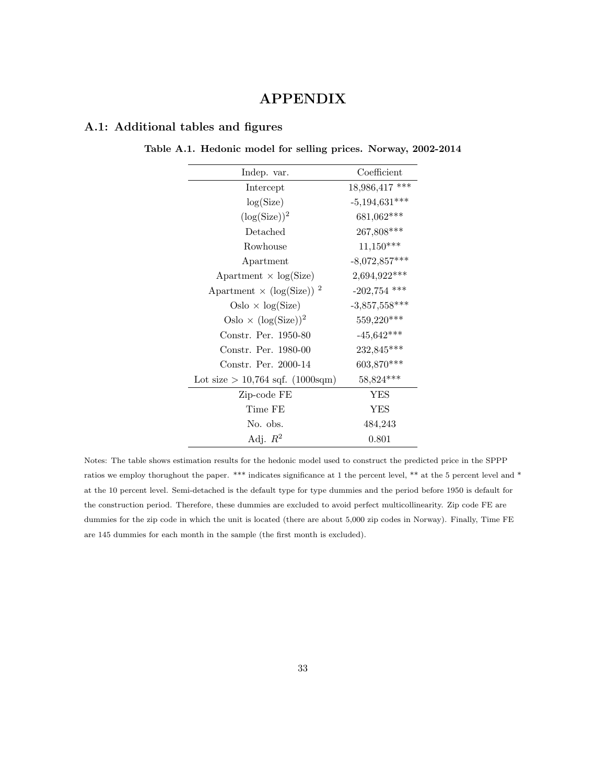# APPENDIX

## A.1: Additional tables and figures

| Indep. var.                                 | Coefficient     |
|---------------------------------------------|-----------------|
| Intercept                                   | 18,986,417 ***  |
| log(Size)                                   | $-5,194,631***$ |
| $(\log(Size))^2$                            | 681,062***      |
| Detached                                    | 267,808***      |
| Rowhouse                                    | $11,150***$     |
| Apartment                                   | $-8,072,857***$ |
| $\text{Apartment} \times \log(\text{Size})$ | 2,694,922***    |
| Apartment $\times$ (log(Size)) <sup>2</sup> | $-202,754$ ***  |
| $Oslo \times log(Size)$                     | $-3,857,558***$ |
| Oslo $\times$ (log(Size)) <sup>2</sup>      | 559,220***      |
| Constr. Per. 1950-80                        | $-45,642***$    |
| Constr. Per. 1980-00                        | 232,845***      |
| Constr. Per. 2000-14                        | 603,870***      |
| Lot size $> 10,764$ sqf. (1000sqm)          | 58,824***       |
| Zip-code FE                                 | <b>YES</b>      |
| Time FE                                     | <b>YES</b>      |
| No. obs.                                    | 484,243         |
| Adj. $R^2$                                  | 0.801           |

Table A.1. Hedonic model for selling prices. Norway, 2002-2014

Notes: The table shows estimation results for the hedonic model used to construct the predicted price in the SPPP ratios we employ thorughout the paper. \*\*\* indicates significance at 1 the percent level, \*\* at the 5 percent level and \* at the 10 percent level. Semi-detached is the default type for type dummies and the period before 1950 is default for the construction period. Therefore, these dummies are excluded to avoid perfect multicollinearity. Zip code FE are dummies for the zip code in which the unit is located (there are about 5,000 zip codes in Norway). Finally, Time FE are 145 dummies for each month in the sample (the first month is excluded).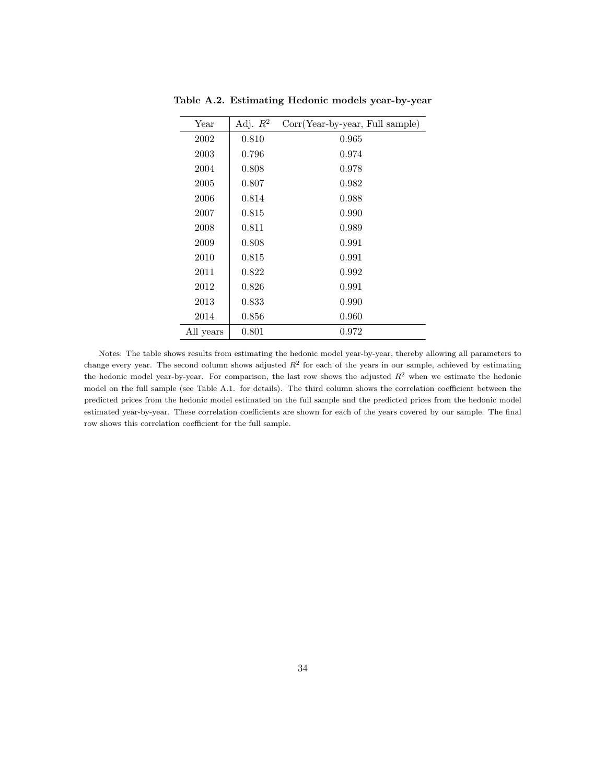| Year      | Adj. $R^2$ | Corr(Year-by-year, Full sample) |
|-----------|------------|---------------------------------|
| 2002      | 0.810      | 0.965                           |
| 2003      | 0.796      | 0.974                           |
| 2004      | 0.808      | 0.978                           |
| 2005      | 0.807      | 0.982                           |
| 2006      | 0.814      | 0.988                           |
| 2007      | 0.815      | 0.990                           |
| 2008      | 0.811      | 0.989                           |
| 2009      | 0.808      | 0.991                           |
| 2010      | 0.815      | 0.991                           |
| 2011      | 0.822      | 0.992                           |
| 2012      | 0.826      | 0.991                           |
| 2013      | 0.833      | 0.990                           |
| 2014      | 0.856      | 0.960                           |
| All years | 0.801      | 0.972                           |

Table A.2. Estimating Hedonic models year-by-year

Notes: The table shows results from estimating the hedonic model year-by-year, thereby allowing all parameters to change every year. The second column shows adjusted  $R^2$  for each of the years in our sample, achieved by estimating the hedonic model year-by-year. For comparison, the last row shows the adjusted  $R<sup>2</sup>$  when we estimate the hedonic model on the full sample (see Table A.1. for details). The third column shows the correlation coefficient between the predicted prices from the hedonic model estimated on the full sample and the predicted prices from the hedonic model estimated year-by-year. These correlation coefficients are shown for each of the years covered by our sample. The final row shows this correlation coefficient for the full sample.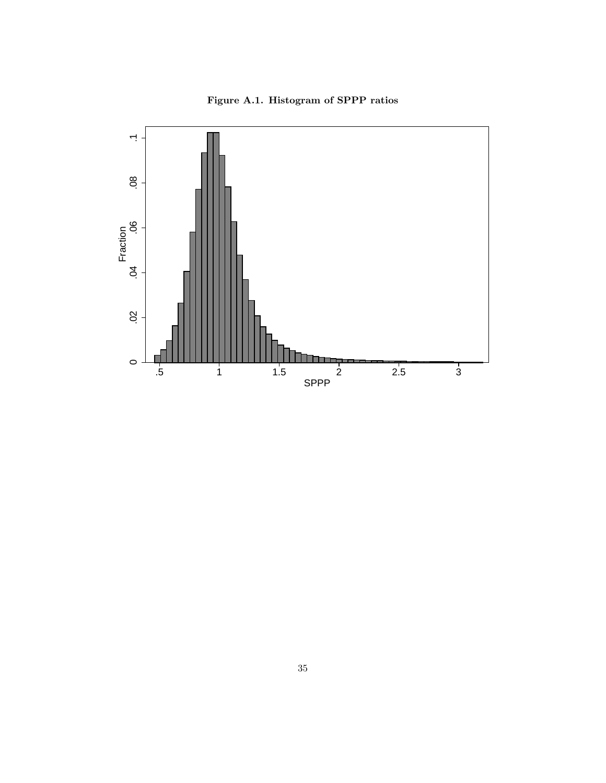

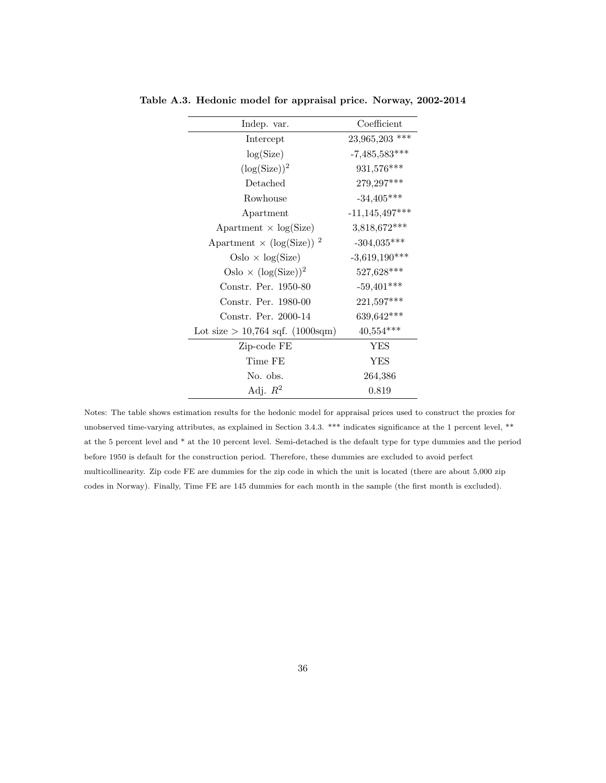| Indep. var.                                 | Coefficient      |
|---------------------------------------------|------------------|
| Intercept                                   | $23,965,203$ *** |
| log(Size)                                   | $-7,485,583***$  |
| $(\log(Size))^2$                            | 931,576***       |
| Detached                                    | 279,297***       |
| Rowhouse                                    | $-34,405***$     |
| Apartment                                   | $-11,145,497***$ |
| Apartment $\times$ log(Size)                | 3,818,672***     |
| Apartment $\times$ (log(Size)) <sup>2</sup> | $-304,035***$    |
| $Oslo \times log(Size)$                     | $-3,619,190***$  |
| $Oslo \times (log(Size))^2$                 | 527,628***       |
| Constr. Per. 1950-80                        | $-59,401***$     |
| Constr. Per. 1980-00                        | 221,597***       |
| Constr. Per. 2000-14                        | 639,642***       |
| Lot size $> 10,764$ sqf. (1000sqm)          | $40,554***$      |
| Zip-code FE                                 | YES              |
| Time FE                                     | YES              |
| No. obs.                                    | 264,386          |
| Adj. $R^2$                                  | 0.819            |

Table A.3. Hedonic model for appraisal price. Norway, 2002-2014

Notes: The table shows estimation results for the hedonic model for appraisal prices used to construct the proxies for unobserved time-varying attributes, as explained in Section 3.4.3. \*\*\* indicates significance at the 1 percent level, \*\* at the 5 percent level and \* at the 10 percent level. Semi-detached is the default type for type dummies and the period before 1950 is default for the construction period. Therefore, these dummies are excluded to avoid perfect multicollinearity. Zip code FE are dummies for the zip code in which the unit is located (there are about 5,000 zip codes in Norway). Finally, Time FE are 145 dummies for each month in the sample (the first month is excluded).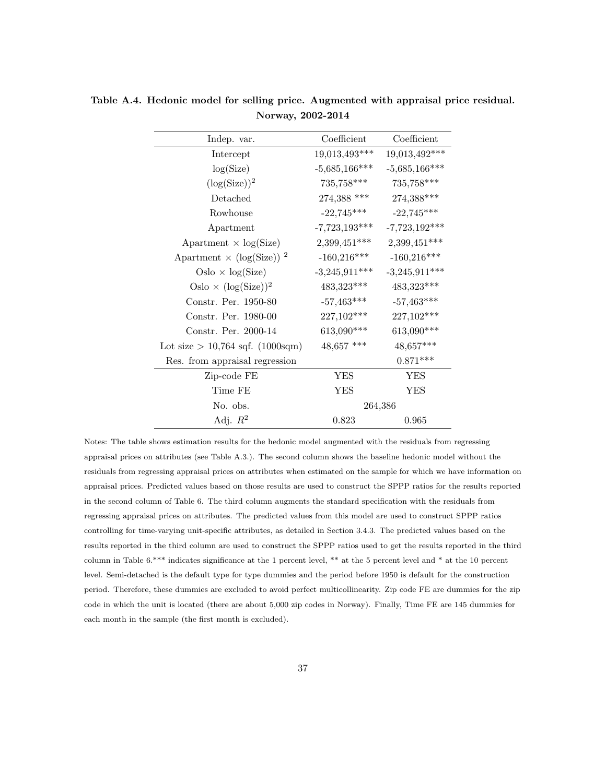| Indep. var.                                 | Coefficient     | Coefficient     |
|---------------------------------------------|-----------------|-----------------|
| Intercept                                   | $19,013,493***$ | 19,013,492***   |
| log(Size)                                   | $-5,685,166***$ | $-5,685,166***$ |
| $(\log(Size))^2$                            | 735,758***      | 735,758***      |
| Detached                                    | 274,388 ***     | 274,388***      |
| Rowhouse                                    | $-22,745***$    | $-22,745***$    |
| Apartment                                   | $-7,723,193***$ | $-7,723,192***$ |
| Apartment $\times$ log(Size)                | $2,399,451***$  | $2,399,451***$  |
| Apartment $\times$ (log(Size)) <sup>2</sup> | $-160,216***$   | $-160,216***$   |
| $Oslo \times log(Size)$                     | $-3,245,911***$ | $-3,245,911***$ |
| $Oslo \times (log(Size))^2$                 | 483,323***      | 483,323***      |
| Constr. Per. 1950-80                        | $-57,463***$    | $-57,463***$    |
| Constr. Per. 1980-00                        | 227,102***      | 227,102***      |
| Constr. Per. 2000-14                        | 613,090***      | 613,090***      |
| Lot size $> 10,764$ sqf. (1000sqm)          | 48,657 ***      | 48,657***       |
| Res. from appraisal regression              |                 | $0.871***$      |
| Zip-code FE                                 | YES             | YES             |
| Time FE                                     | YES             | <b>YES</b>      |
| No. obs.                                    | 264,386         |                 |
| Adj. $R^2$                                  | 0.823           | 0.965           |

Table A.4. Hedonic model for selling price. Augmented with appraisal price residual. Norway, 2002-2014

Notes: The table shows estimation results for the hedonic model augmented with the residuals from regressing appraisal prices on attributes (see Table A.3.). The second column shows the baseline hedonic model without the residuals from regressing appraisal prices on attributes when estimated on the sample for which we have information on appraisal prices. Predicted values based on those results are used to construct the SPPP ratios for the results reported in the second column of Table 6. The third column augments the standard specification with the residuals from regressing appraisal prices on attributes. The predicted values from this model are used to construct SPPP ratios controlling for time-varying unit-specific attributes, as detailed in Section 3.4.3. The predicted values based on the results reported in the third column are used to construct the SPPP ratios used to get the results reported in the third column in Table 6.\*\*\* indicates significance at the 1 percent level, \*\* at the 5 percent level and \* at the 10 percent level. Semi-detached is the default type for type dummies and the period before 1950 is default for the construction period. Therefore, these dummies are excluded to avoid perfect multicollinearity. Zip code FE are dummies for the zip code in which the unit is located (there are about 5,000 zip codes in Norway). Finally, Time FE are 145 dummies for each month in the sample (the first month is excluded).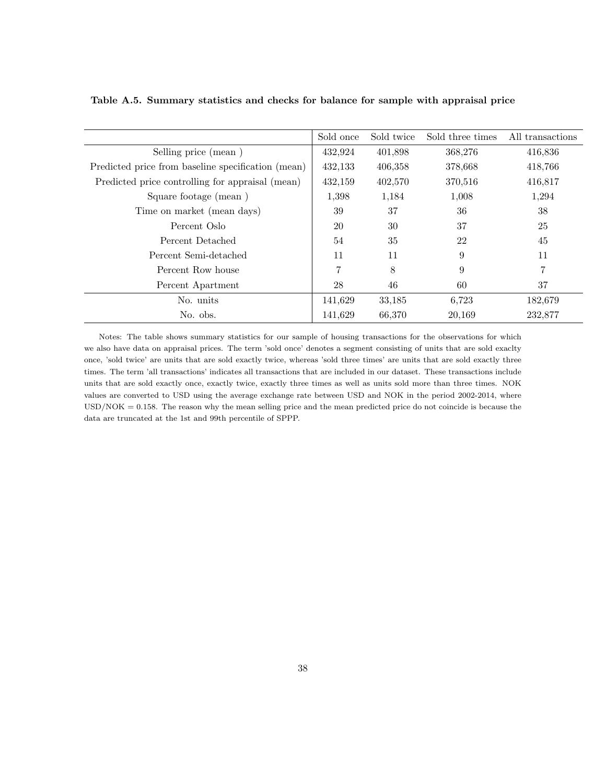|                                                    | Sold once | Sold twice | Sold three times | All transactions |
|----------------------------------------------------|-----------|------------|------------------|------------------|
| Selling price (mean)                               | 432,924   | 401,898    | 368,276          | 416,836          |
| Predicted price from baseline specification (mean) | 432,133   | 406,358    | 378,668          | 418,766          |
| Predicted price controlling for appraisal (mean)   | 432,159   | 402,570    | 370,516          | 416,817          |
| Square footage (mean)                              | 1,398     | 1,184      | 1,008            | 1,294            |
| Time on market (mean days)                         | 39        | 37         | 36               | 38               |
| Percent Oslo                                       | 20        | 30         | 37               | 25               |
| Percent Detached                                   | 54        | 35         | 22               | 45               |
| Percent Semi-detached                              | 11        | 11         | 9                | 11               |
| Percent Row house                                  | 7         | 8          | 9                | 7                |
| Percent Apartment                                  | 28        | 46         | 60               | 37               |
| No. units                                          | 141,629   | 33,185     | 6,723            | 182,679          |
| No. obs.                                           | 141.629   | 66,370     | 20,169           | 232,877          |

### Table A.5. Summary statistics and checks for balance for sample with appraisal price

Notes: The table shows summary statistics for our sample of housing transactions for the observations for which we also have data on appraisal prices. The term 'sold once' denotes a segment consisting of units that are sold exaclty once, 'sold twice' are units that are sold exactly twice, whereas 'sold three times' are units that are sold exactly three times. The term 'all transactions' indicates all transactions that are included in our dataset. These transactions include units that are sold exactly once, exactly twice, exactly three times as well as units sold more than three times. NOK values are converted to USD using the average exchange rate between USD and NOK in the period 2002-2014, where USD/NOK = 0.158. The reason why the mean selling price and the mean predicted price do not coincide is because the data are truncated at the 1st and 99th percentile of SPPP.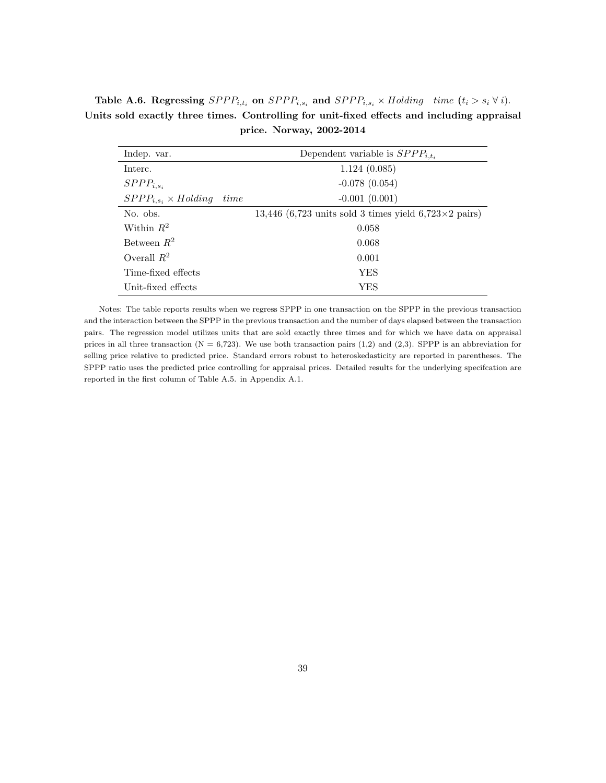Table A.6. Regressing  $SPPP_{i,t_i}$  on  $SPPP_{i,s_i}$  and  $SPPP_{i,s_i} \times Holding$  time  $(t_i > s_i \forall i)$ . Units sold exactly three times. Controlling for unit-fixed effects and including appraisal price. Norway, 2002-2014

| Indep. var.                          | Dependent variable is $SPPP_{i,t_i}$                           |  |
|--------------------------------------|----------------------------------------------------------------|--|
| Interc.                              | 1.124(0.085)                                                   |  |
| $SPPP_{i,s_i}$                       | $-0.078(0.054)$                                                |  |
| $SPPP_{i,s_i}\times Holding$<br>time | $-0.001(0.001)$                                                |  |
| No. obs.                             | 13,446 (6,723 units sold 3 times yield 6,723 $\times$ 2 pairs) |  |
| Within $R^2$                         | 0.058                                                          |  |
| Between $R^2$                        | 0.068                                                          |  |
| Overall $R^2$                        | 0.001                                                          |  |
| Time-fixed effects                   | YES                                                            |  |
| Unit-fixed effects                   | YES                                                            |  |

Notes: The table reports results when we regress SPPP in one transaction on the SPPP in the previous transaction and the interaction between the SPPP in the previous transaction and the number of days elapsed between the transaction pairs. The regression model utilizes units that are sold exactly three times and for which we have data on appraisal prices in all three transaction ( $N = 6,723$ ). We use both transaction pairs (1,2) and (2,3). SPPP is an abbreviation for selling price relative to predicted price. Standard errors robust to heteroskedasticity are reported in parentheses. The SPPP ratio uses the predicted price controlling for appraisal prices. Detailed results for the underlying specifcation are reported in the first column of Table A.5. in Appendix A.1.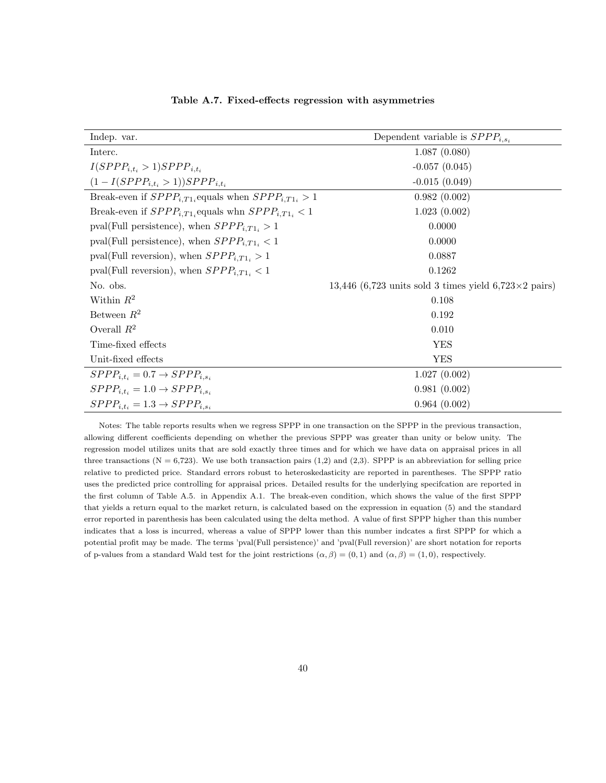| Indep. var.                                                  | Dependent variable is $SPPP_{i,s_i}$                         |
|--------------------------------------------------------------|--------------------------------------------------------------|
| Interc.                                                      | 1.087(0.080)                                                 |
| $I(SPPP_{i,t_i} > 1)SPPP_{i,t_i}$                            | $-0.057(0.045)$                                              |
| $(1 - I(SPPP_{i,t_i} > 1))SPPP_{i,t_i}$                      | $-0.015(0.049)$                                              |
| Break-even if $SPPP_{i,T1_i}$ equals when $SPPP_{i,T1_i}>1$  | 0.982(0.002)                                                 |
| Break-even if $SPPP_{i,T1_i}$ equals whn $SPPP_{i,T1_i} < 1$ | 1.023(0.002)                                                 |
| pval(Full persistence), when $SPPP_{i,T_1} > 1$              | 0.0000                                                       |
| pval(Full persistence), when $SPPP_{i,T1_i} < 1$             | 0.0000                                                       |
| pval(Full reversion), when $SPPP_{i,T_1} > 1$                | 0.0887                                                       |
| pval(Full reversion), when $SPPP_{i,T1_i} < 1$               | 0.1262                                                       |
| No. obs.                                                     | 13,446 (6,723 units sold 3 times yield $6,723\times2$ pairs) |
| Within $R^2$                                                 | 0.108                                                        |
| Between $R^2$                                                | 0.192                                                        |
| Overall $R^2$                                                | 0.010                                                        |
| Time-fixed effects                                           | <b>YES</b>                                                   |
| Unit-fixed effects                                           | <b>YES</b>                                                   |
| $SPPP_{i.t.}=0.7 \rightarrow SPPP_{i.s.}$                    | 1.027(0.002)                                                 |
| $SPPP_{i,t_i}=1.0 \rightarrow SPPP_{i,s_i}$                  | 0.981(0.002)                                                 |
| $SPPP_{i.t.} = 1.3 \rightarrow SPPP_{i.s.}$                  | 0.964(0.002)                                                 |

Table A.7. Fixed-effects regression with asymmetries

Notes: The table reports results when we regress SPPP in one transaction on the SPPP in the previous transaction, allowing different coefficients depending on whether the previous SPPP was greater than unity or below unity. The regression model utilizes units that are sold exactly three times and for which we have data on appraisal prices in all three transactions ( $N = 6,723$ ). We use both transaction pairs (1,2) and (2,3). SPPP is an abbreviation for selling price relative to predicted price. Standard errors robust to heteroskedasticity are reported in parentheses. The SPPP ratio uses the predicted price controlling for appraisal prices. Detailed results for the underlying specifcation are reported in the first column of Table A.5. in Appendix A.1. The break-even condition, which shows the value of the first SPPP that yields a return equal to the market return, is calculated based on the expression in equation (5) and the standard error reported in parenthesis has been calculated using the delta method. A value of first SPPP higher than this number indicates that a loss is incurred, whereas a value of SPPP lower than this number indcates a first SPPP for which a potential profit may be made. The terms 'pval(Full persistence)' and 'pval(Full reversion)' are short notation for reports of p-values from a standard Wald test for the joint restrictions  $(\alpha, \beta) = (0, 1)$  and  $(\alpha, \beta) = (1, 0)$ , respectively.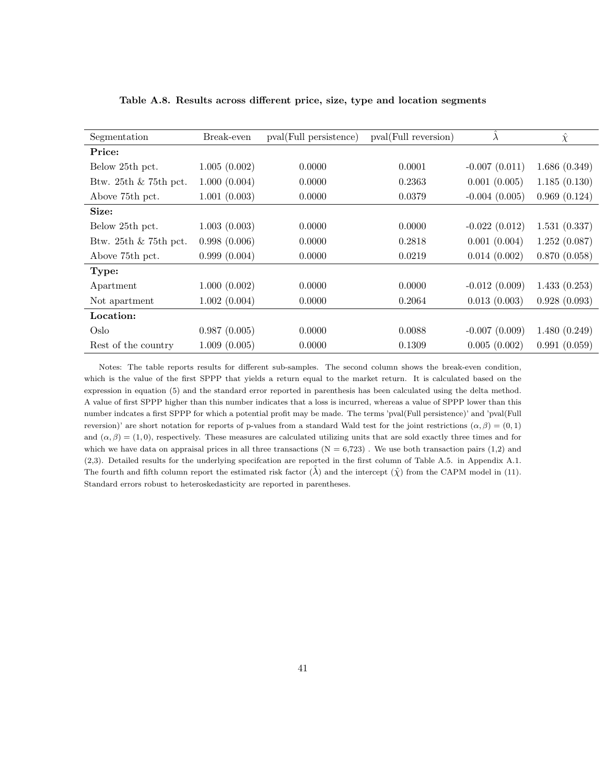| Segmentation             | Break-even   | pval(Full persistence) | pval(Full reversion) | $\lambda$       | $\hat{\chi}$ |
|--------------------------|--------------|------------------------|----------------------|-----------------|--------------|
| Price:                   |              |                        |                      |                 |              |
| Below 25th pct.          | 1.005(0.002) | 0.0000                 | 0.0001               | $-0.007(0.011)$ | 1.686(0.349) |
| Btw. $25th \& 75th$ pct. | 1.000(0.004) | 0.0000                 | 0.2363               | 0.001(0.005)    | 1.185(0.130) |
| Above 75th pct.          | 1.001(0.003) | 0.0000                 | 0.0379               | $-0.004(0.005)$ | 0.969(0.124) |
| Size:                    |              |                        |                      |                 |              |
| Below 25th pct.          | 1.003(0.003) | 0.0000                 | 0.0000               | $-0.022(0.012)$ | 1.531(0.337) |
| Btw. 25th & 75th pct.    | 0.998(0.006) | 0.0000                 | 0.2818               | 0.001(0.004)    | 1.252(0.087) |
| Above 75th pct.          | 0.999(0.004) | 0.0000                 | 0.0219               | 0.014(0.002)    | 0.870(0.058) |
| Type:                    |              |                        |                      |                 |              |
| Apartment                | 1.000(0.002) | 0.0000                 | 0.0000               | $-0.012(0.009)$ | 1.433(0.253) |
| Not apartment            | 1.002(0.004) | 0.0000                 | 0.2064               | 0.013(0.003)    | 0.928(0.093) |
| Location:                |              |                        |                      |                 |              |
| Oslo                     | 0.987(0.005) | 0.0000                 | 0.0088               | $-0.007(0.009)$ | 1.480(0.249) |
| Rest of the country      | 1.009(0.005) | 0.0000                 | 0.1309               | 0.005(0.002)    | 0.991(0.059) |

Table A.8. Results across different price, size, type and location segments

Notes: The table reports results for different sub-samples. The second column shows the break-even condition, which is the value of the first SPPP that yields a return equal to the market return. It is calculated based on the expression in equation (5) and the standard error reported in parenthesis has been calculated using the delta method. A value of first SPPP higher than this number indicates that a loss is incurred, whereas a value of SPPP lower than this number indcates a first SPPP for which a potential profit may be made. The terms 'pval(Full persistence)' and 'pval(Full reversion)' are short notation for reports of p-values from a standard Wald test for the joint restrictions ( $α, β$ ) = (0, 1) and  $(\alpha, \beta) = (1, 0)$ , respectively. These measures are calculated utilizing units that are sold exactly three times and for which we have data on appraisal prices in all three transactions  $(N = 6,723)$ . We use both transaction pairs  $(1,2)$  and (2,3). Detailed results for the underlying specifcation are reported in the first column of Table A.5. in Appendix A.1. The fourth and fifth column report the estimated risk factor  $(\lambda)$  and the intercept  $(\hat{\chi})$  from the CAPM model in (11). Standard errors robust to heteroskedasticity are reported in parentheses.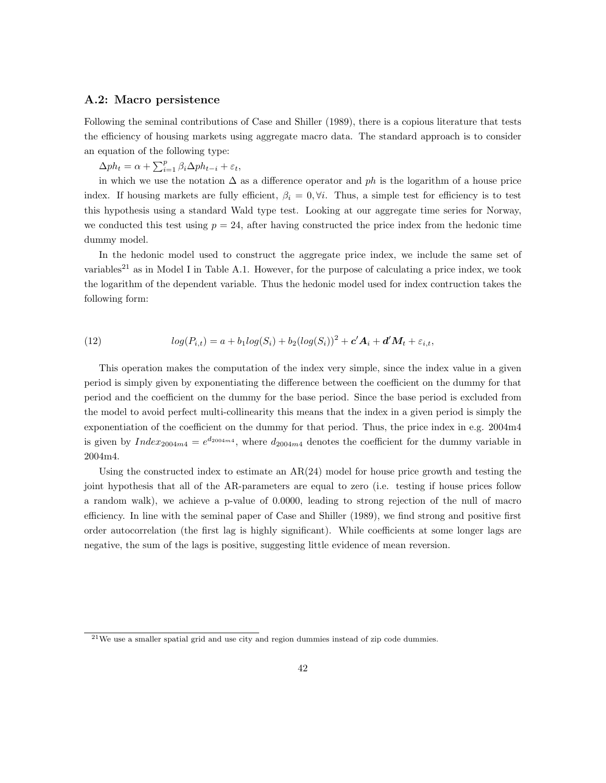### A.2: Macro persistence

Following the seminal contributions of Case and Shiller (1989), there is a copious literature that tests the efficiency of housing markets using aggregate macro data. The standard approach is to consider an equation of the following type:

 $\Delta ph_t = \alpha + \sum_{i=1}^p \beta_i \Delta ph_{t-i} + \varepsilon_t,$ 

in which we use the notation  $\Delta$  as a difference operator and ph is the logarithm of a house price index. If housing markets are fully efficient,  $\beta_i = 0, \forall i$ . Thus, a simple test for efficiency is to test this hypothesis using a standard Wald type test. Looking at our aggregate time series for Norway, we conducted this test using  $p = 24$ , after having constructed the price index from the hedonic time dummy model.

In the hedonic model used to construct the aggregate price index, we include the same set of variables<sup>21</sup> as in Model I in Table A.1. However, for the purpose of calculating a price index, we took the logarithm of the dependent variable. Thus the hedonic model used for index contruction takes the following form:

(12) 
$$
log(P_{i,t}) = a + b_1 log(S_i) + b_2 (log(S_i))^2 + c' A_i + d' M_t + \varepsilon_{i,t},
$$

This operation makes the computation of the index very simple, since the index value in a given period is simply given by exponentiating the difference between the coefficient on the dummy for that period and the coefficient on the dummy for the base period. Since the base period is excluded from the model to avoid perfect multi-collinearity this means that the index in a given period is simply the exponentiation of the coefficient on the dummy for that period. Thus, the price index in e.g. 2004m4 is given by  $Index_{2004m4} = e^{d_{2004m4}}$ , where  $d_{2004m4}$  denotes the coefficient for the dummy variable in 2004m4.

Using the constructed index to estimate an AR(24) model for house price growth and testing the joint hypothesis that all of the AR-parameters are equal to zero (i.e. testing if house prices follow a random walk), we achieve a p-value of 0.0000, leading to strong rejection of the null of macro efficiency. In line with the seminal paper of Case and Shiller (1989), we find strong and positive first order autocorrelation (the first lag is highly significant). While coefficients at some longer lags are negative, the sum of the lags is positive, suggesting little evidence of mean reversion.

<sup>21</sup>We use a smaller spatial grid and use city and region dummies instead of zip code dummies.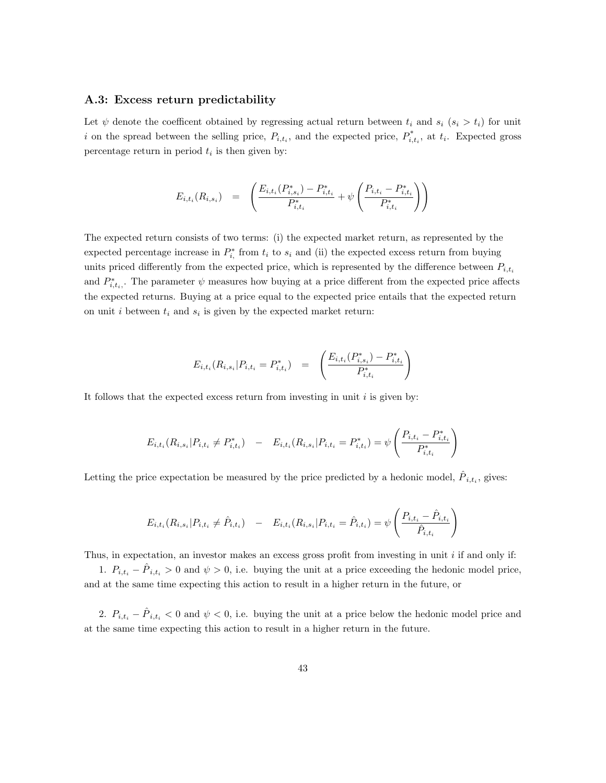#### A.3: Excess return predictability

Let  $\psi$  denote the coefficent obtained by regressing actual return between  $t_i$  and  $s_i$  ( $s_i > t_i$ ) for unit i on the spread between the selling price,  $P_{i,t_i}$ , and the expected price,  $P_{i,t_i}^*$ , at  $t_i$ . Expected gross percentage return in period  $t_i$  is then given by:

$$
E_{i,t_i}(R_{i,s_i}) = \left(\frac{E_{i,t_i}(P_{i,s_i}^*) - P_{i,t_i}^*}{P_{i,t_i}^*} + \psi\left(\frac{P_{i,t_i} - P_{i,t_i}^*}{P_{i,t_i}^*}\right)\right)
$$

The expected return consists of two terms: (i) the expected market return, as represented by the expected percentage increase in  $P_{i}^{*}$  from  $t_i$  to  $s_i$  and (ii) the expected excess return from buying units priced differently from the expected price, which is represented by the difference between  $P_{i,t_i}$ and  $P_{i,t_i}^*$ . The parameter  $\psi$  measures how buying at a price different from the expected price affects the expected returns. Buying at a price equal to the expected price entails that the expected return on unit *i* between  $t_i$  and  $s_i$  is given by the expected market return:

$$
E_{i,t_i}(R_{i,s_i}|P_{i,t_i} = P_{i,t_i}^*) = \left(\frac{E_{i,t_i}(P_{i,s_i}^*) - P_{i,t_i}^*}{P_{i,t_i}^*}\right)
$$

It follows that the expected excess return from investing in unit  $i$  is given by:

$$
E_{i,t_i}(R_{i,s_i}|P_{i,t_i} \neq P_{i,t_i}^*) - E_{i,t_i}(R_{i,s_i}|P_{i,t_i} = P_{i,t_i}^*) = \psi\left(\frac{P_{i,t_i} - P_{i,t_i}^*}{P_{i,t_i}^*}\right)
$$

Letting the price expectation be measured by the price predicted by a hedonic model,  $\hat{P}_{i,t_i}$ , gives:

$$
E_{i,t_i}(R_{i,s_i}|P_{i,t_i} \neq \hat{P}_{i,t_i}) - E_{i,t_i}(R_{i,s_i}|P_{i,t_i} = \hat{P}_{i,t_i}) = \psi\left(\frac{P_{i,t_i} - \hat{P}_{i,t_i}}{\hat{P}_{i,t_i}}\right)
$$

Thus, in expectation, an investor makes an excess gross profit from investing in unit i if and only if:

1.  $P_{i,t_i} - \hat{P}_{i,t_i} > 0$  and  $\psi > 0$ , i.e. buying the unit at a price exceeding the hedonic model price, and at the same time expecting this action to result in a higher return in the future, or

2.  $P_{i,t_i} - \hat{P}_{i,t_i} < 0$  and  $\psi < 0$ , i.e. buying the unit at a price below the hedonic model price and at the same time expecting this action to result in a higher return in the future.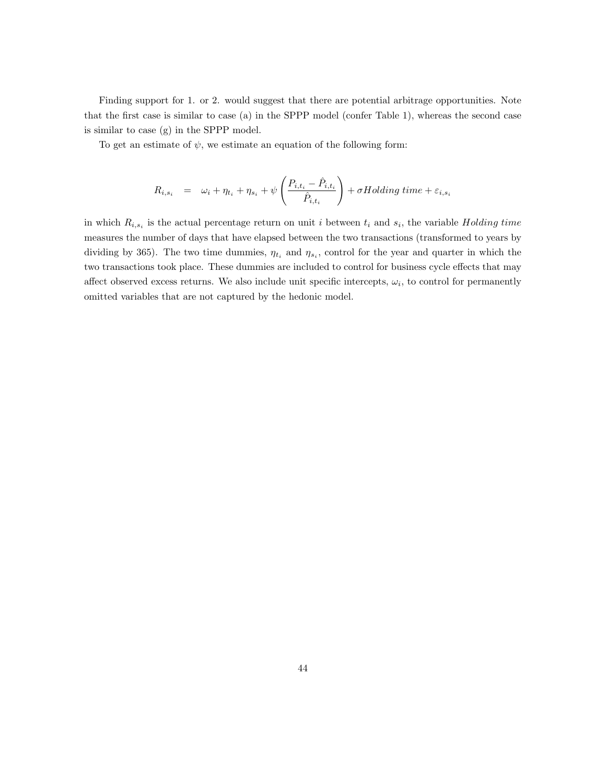Finding support for 1. or 2. would suggest that there are potential arbitrage opportunities. Note that the first case is similar to case (a) in the SPPP model (confer Table 1), whereas the second case is similar to case (g) in the SPPP model.

To get an estimate of  $\psi$ , we estimate an equation of the following form:

$$
R_{i,s_i} = \omega_i + \eta_{t_i} + \eta_{s_i} + \psi \left( \frac{P_{i,t_i} - \hat{P}_{i,t_i}}{\hat{P}_{i,t_i}} \right) + \sigma Holding\ time + \varepsilon_{i,s_i}
$$

in which  $R_{i,s_i}$  is the actual percentage return on unit i between  $t_i$  and  $s_i$ , the variable Holding time measures the number of days that have elapsed between the two transactions (transformed to years by dividing by 365). The two time dummies,  $\eta_{t_i}$  and  $\eta_{s_i}$ , control for the year and quarter in which the two transactions took place. These dummies are included to control for business cycle effects that may affect observed excess returns. We also include unit specific intercepts,  $\omega_i$ , to control for permanently omitted variables that are not captured by the hedonic model.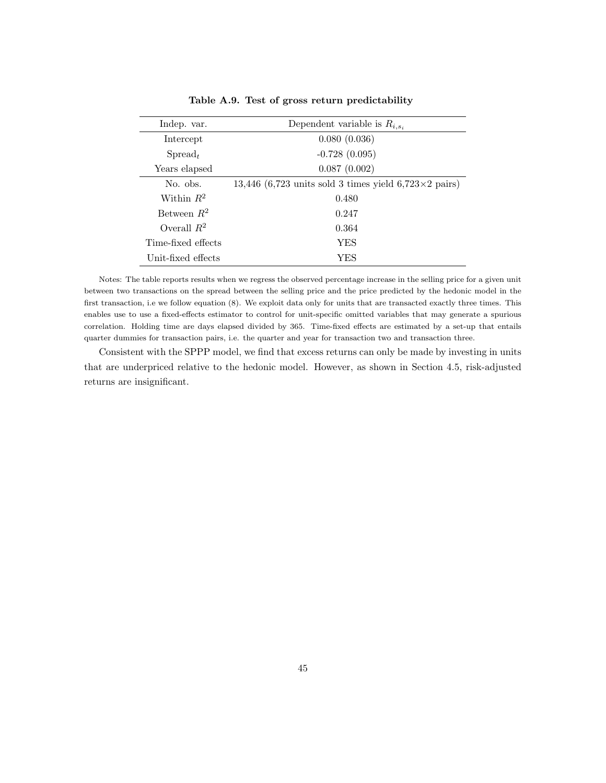| Indep. var.        | Dependent variable is $R_{i,s_i}$                              |
|--------------------|----------------------------------------------------------------|
| Intercept          | 0.080(0.036)                                                   |
| $Spread_t$         | $-0.728(0.095)$                                                |
| Years elapsed      | 0.087(0.002)                                                   |
| No. obs.           | 13,446 (6,723 units sold 3 times yield 6,723 $\times$ 2 pairs) |
| Within $R^2$       | 0.480                                                          |
| Between $R^2$      | 0.247                                                          |
| Overall $R^2$      | 0.364                                                          |
| Time-fixed effects | YES                                                            |
| Unit-fixed effects | YES                                                            |

Table A.9. Test of gross return predictability

Notes: The table reports results when we regress the observed percentage increase in the selling price for a given unit between two transactions on the spread between the selling price and the price predicted by the hedonic model in the first transaction, i.e we follow equation (8). We exploit data only for units that are transacted exactly three times. This enables use to use a fixed-effects estimator to control for unit-specific omitted variables that may generate a spurious correlation. Holding time are days elapsed divided by 365. Time-fixed effects are estimated by a set-up that entails quarter dummies for transaction pairs, i.e. the quarter and year for transaction two and transaction three.

Consistent with the SPPP model, we find that excess returns can only be made by investing in units that are underpriced relative to the hedonic model. However, as shown in Section 4.5, risk-adjusted returns are insignificant.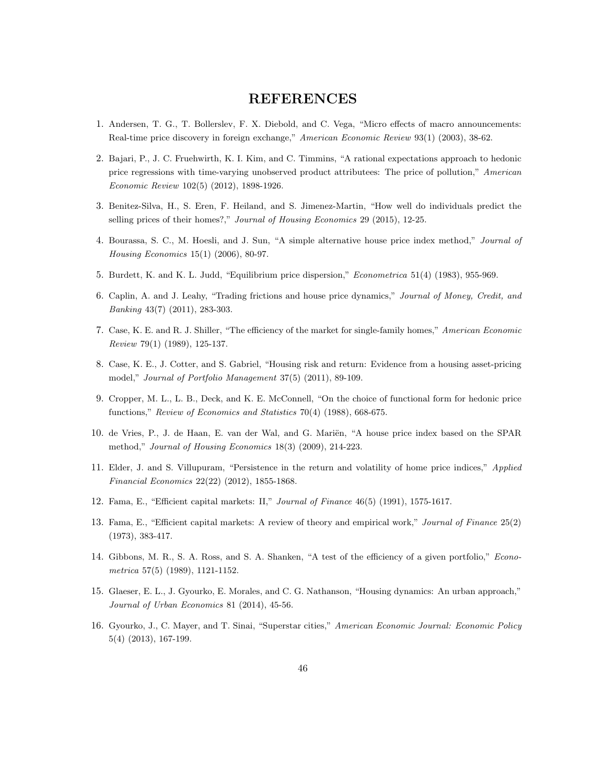## REFERENCES

- 1. Andersen, T. G., T. Bollerslev, F. X. Diebold, and C. Vega, "Micro effects of macro announcements: Real-time price discovery in foreign exchange," American Economic Review 93(1) (2003), 38-62.
- 2. Bajari, P., J. C. Fruehwirth, K. I. Kim, and C. Timmins, "A rational expectations approach to hedonic price regressions with time-varying unobserved product attributees: The price of pollution," American Economic Review 102(5) (2012), 1898-1926.
- 3. Benitez-Silva, H., S. Eren, F. Heiland, and S. Jimenez-Martin, "How well do individuals predict the selling prices of their homes?," Journal of Housing Economics 29 (2015), 12-25.
- 4. Bourassa, S. C., M. Hoesli, and J. Sun, "A simple alternative house price index method," Journal of Housing Economics 15(1) (2006), 80-97.
- 5. Burdett, K. and K. L. Judd, "Equilibrium price dispersion," Econometrica 51(4) (1983), 955-969.
- 6. Caplin, A. and J. Leahy, "Trading frictions and house price dynamics," Journal of Money, Credit, and Banking 43(7) (2011), 283-303.
- 7. Case, K. E. and R. J. Shiller, "The efficiency of the market for single-family homes," American Economic Review 79(1) (1989), 125-137.
- 8. Case, K. E., J. Cotter, and S. Gabriel, "Housing risk and return: Evidence from a housing asset-pricing model," Journal of Portfolio Management 37(5) (2011), 89-109.
- 9. Cropper, M. L., L. B., Deck, and K. E. McConnell, "On the choice of functional form for hedonic price functions," Review of Economics and Statistics 70(4) (1988), 668-675.
- 10. de Vries, P., J. de Haan, E. van der Wal, and G. Mariën, "A house price index based on the SPAR method," Journal of Housing Economics 18(3) (2009), 214-223.
- 11. Elder, J. and S. Villupuram, "Persistence in the return and volatility of home price indices," Applied Financial Economics 22(22) (2012), 1855-1868.
- 12. Fama, E., "Efficient capital markets: II," Journal of Finance 46(5) (1991), 1575-1617.
- 13. Fama, E., "Efficient capital markets: A review of theory and empirical work," Journal of Finance 25(2) (1973), 383-417.
- 14. Gibbons, M. R., S. A. Ross, and S. A. Shanken, "A test of the efficiency of a given portfolio," Econometrica 57(5) (1989), 1121-1152.
- 15. Glaeser, E. L., J. Gyourko, E. Morales, and C. G. Nathanson, "Housing dynamics: An urban approach," Journal of Urban Economics 81 (2014), 45-56.
- 16. Gyourko, J., C. Mayer, and T. Sinai, "Superstar cities," American Economic Journal: Economic Policy 5(4) (2013), 167-199.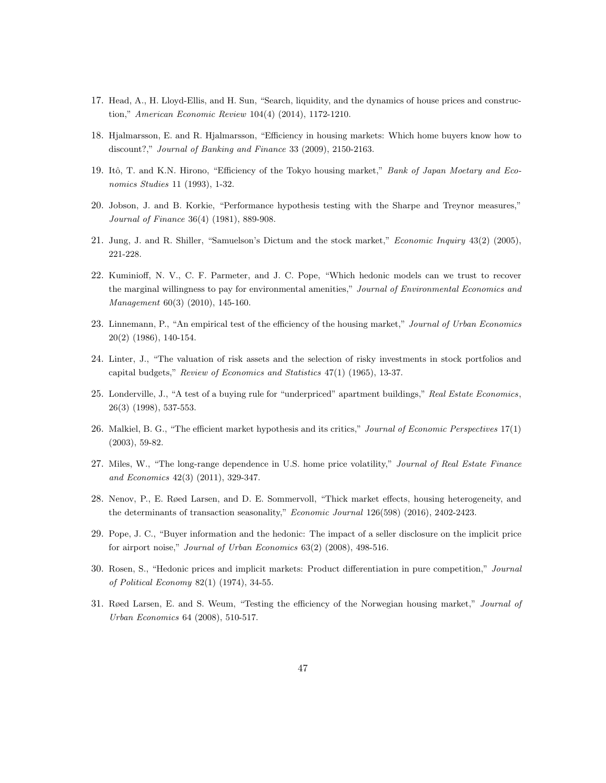- 17. Head, A., H. Lloyd-Ellis, and H. Sun, "Search, liquidity, and the dynamics of house prices and construction," American Economic Review 104(4) (2014), 1172-1210.
- 18. Hjalmarsson, E. and R. Hjalmarsson, "Efficiency in housing markets: Which home buyers know how to discount?," Journal of Banking and Finance 33 (2009), 2150-2163.
- 19. Itô, T. and K.N. Hirono, "Efficiency of the Tokyo housing market," Bank of Japan Moetary and Economics Studies 11 (1993), 1-32.
- 20. Jobson, J. and B. Korkie, "Performance hypothesis testing with the Sharpe and Treynor measures," Journal of Finance 36(4) (1981), 889-908.
- 21. Jung, J. and R. Shiller, "Samuelson's Dictum and the stock market," Economic Inquiry 43(2) (2005), 221-228.
- 22. Kuminioff, N. V., C. F. Parmeter, and J. C. Pope, "Which hedonic models can we trust to recover the marginal willingness to pay for environmental amenities," Journal of Environmental Economics and Management 60(3) (2010), 145-160.
- 23. Linnemann, P., "An empirical test of the efficiency of the housing market," Journal of Urban Economics 20(2) (1986), 140-154.
- 24. Linter, J., "The valuation of risk assets and the selection of risky investments in stock portfolios and capital budgets," Review of Economics and Statistics 47(1) (1965), 13-37.
- 25. Londerville, J., "A test of a buying rule for "underpriced" apartment buildings," Real Estate Economics, 26(3) (1998), 537-553.
- 26. Malkiel, B. G., "The efficient market hypothesis and its critics," Journal of Economic Perspectives 17(1) (2003), 59-82.
- 27. Miles, W., "The long-range dependence in U.S. home price volatility," Journal of Real Estate Finance and Economics 42(3) (2011), 329-347.
- 28. Nenov, P., E. Røed Larsen, and D. E. Sommervoll, "Thick market effects, housing heterogeneity, and the determinants of transaction seasonality," Economic Journal 126(598) (2016), 2402-2423.
- 29. Pope, J. C., "Buyer information and the hedonic: The impact of a seller disclosure on the implicit price for airport noise," Journal of Urban Economics 63(2) (2008), 498-516.
- 30. Rosen, S., "Hedonic prices and implicit markets: Product differentiation in pure competition," Journal of Political Economy 82(1) (1974), 34-55.
- 31. Røed Larsen, E. and S. Weum, "Testing the efficiency of the Norwegian housing market," Journal of Urban Economics 64 (2008), 510-517.